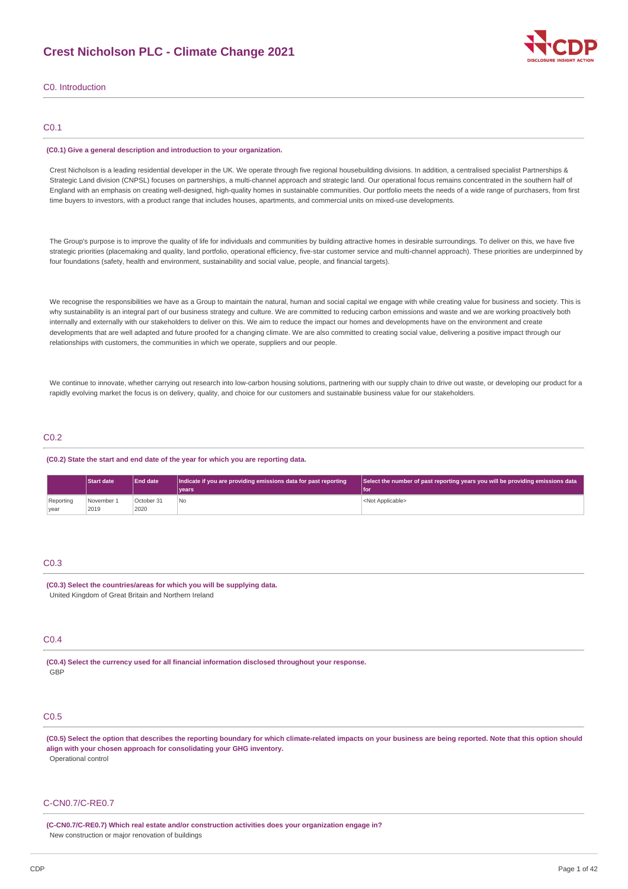# **Crest Nicholson PLC - Climate Change 2021**



## C0. Introduction

## C0.1

#### **(C0.1) Give a general description and introduction to your organization.**

Crest Nicholson is a leading residential developer in the UK. We operate through five regional housebuilding divisions. In addition, a centralised specialist Partnerships & Strategic Land division (CNPSL) focuses on partnerships, a multi-channel approach and strategic land. Our operational focus remains concentrated in the southern half of England with an emphasis on creating well-designed, high-quality homes in sustainable communities. Our portfolio meets the needs of a wide range of purchasers, from first time buyers to investors, with a product range that includes houses, apartments, and commercial units on mixed-use developments.

The Group's purpose is to improve the quality of life for individuals and communities by building attractive homes in desirable surroundings. To deliver on this, we have five strategic priorities (placemaking and quality, land portfolio, operational efficiency, five-star customer service and multi-channel approach). These priorities are underpinned by four foundations (safety, health and environment, sustainability and social value, people, and financial targets).

We recognise the responsibilities we have as a Group to maintain the natural, human and social capital we engage with while creating value for business and society. This is why sustainability is an integral part of our business strategy and culture. We are committed to reducing carbon emissions and waste and we are working proactively both internally and externally with our stakeholders to deliver on this. We aim to reduce the impact our homes and developments have on the environment and create developments that are well adapted and future proofed for a changing climate. We are also committed to creating social value, delivering a positive impact through our relationships with customers, the communities in which we operate, suppliers and our people.

We continue to innovate, whether carrying out research into low-carbon housing solutions, partnering with our supply chain to drive out waste, or developing our product for a rapidly evolving market the focus is on delivery, quality, and choice for our customers and sustainable business value for our stakeholders.

## C0.2

**(C0.2) State the start and end date of the year for which you are reporting data.**

|                   | <b>Start date</b>  | <b>End date</b>    | Indicate if you are providing emissions data for past reporting<br>vears <sup>®</sup> | Select the number of past reporting years you will be providing emissions data<br>l for |
|-------------------|--------------------|--------------------|---------------------------------------------------------------------------------------|-----------------------------------------------------------------------------------------|
| Reporting<br>year | November 1<br>2019 | October 31<br>2020 | <b>No</b>                                                                             | <not applicable=""></not>                                                               |

## C0.3

**(C0.3) Select the countries/areas for which you will be supplying data.** United Kingdom of Great Britain and Northern Ireland

## C0.4

**(C0.4) Select the currency used for all financial information disclosed throughout your response.** GBP

## C0.5

(C0.5) Select the option that describes the reporting boundary for which climate-related impacts on your business are being reported. Note that this option should **align with your chosen approach for consolidating your GHG inventory.** Operational control

## C-CN0.7/C-RE0.7

**(C-CN0.7/C-RE0.7) Which real estate and/or construction activities does your organization engage in?** New construction or major renovation of buildings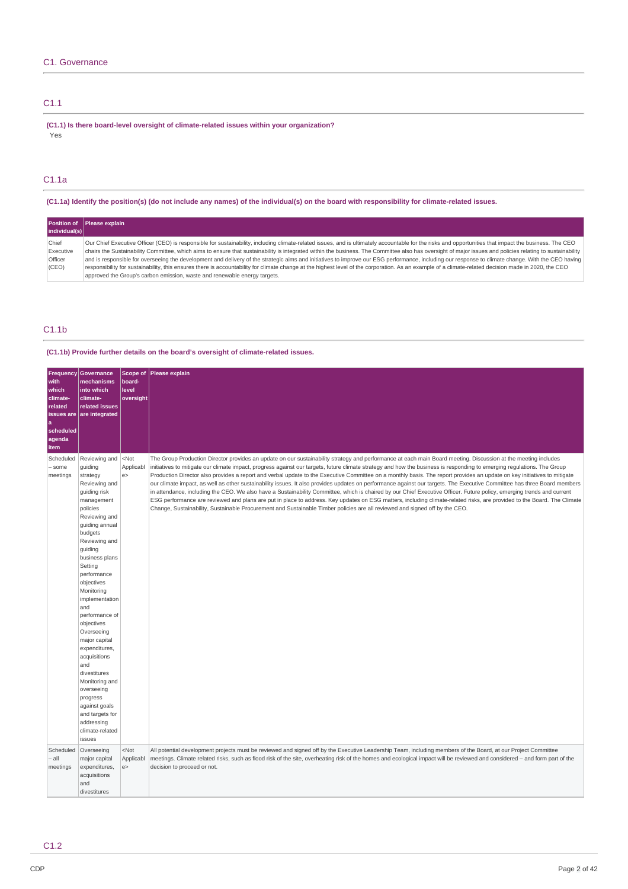# C1.1

**(C1.1) Is there board-level oversight of climate-related issues within your organization?** Yes

## C1.1a

(C1.1a) Identify the position(s) (do not include any names) of the individual(s) on the board with responsibility for climate-related issues.

|               | Position of Please explain                                                                                                                                                                                |
|---------------|-----------------------------------------------------------------------------------------------------------------------------------------------------------------------------------------------------------|
| individual(s) |                                                                                                                                                                                                           |
| Chief         | Our Chief Executive Officer (CEO) is responsible for sustainability, including climate-related issues, and is ultimately accountable for the risks and opportunities that impact the business. The CEO    |
| Executive     | chairs the Sustainability Committee, which aims to ensure that sustainability is integrated within the business. The Committee also has oversight of major issues and policies relating to sustainability |
| Officer       | and is responsible for overseeing the development and delivery of the strategic aims and initiatives to improve our ESG performance, including our response to climate change. With the CEO having        |
| (CEO)         | responsibility for sustainability, this ensures there is accountability for climate change at the highest level of the corporation. As an example of a climate-related decision made in 2020, the CEO     |
|               | approved the Group's carbon emission, waste and renewable energy targets.                                                                                                                                 |

## C1.1b

**(C1.1b) Provide further details on the board's oversight of climate-related issues.**

| <b>Frequency</b><br>with<br>which<br>climate-<br>related<br>$\mathbf a$<br>scheduled<br>agenda<br>item | <b>Governance</b><br>mechanisms<br>into which<br>climate-<br>related issues<br>issues are are integrated                                                                                                                                                                                                                                                                                                                                                                                                                     | Scope of<br>board-<br>level<br>oversight | Please explain                                                                                                                                                                                                                                                                                                                                                                                                                                                                                                                                                                                                                                                                                                                                                                                                                                                                                                                                                                                                                                                                                                                                                                        |
|--------------------------------------------------------------------------------------------------------|------------------------------------------------------------------------------------------------------------------------------------------------------------------------------------------------------------------------------------------------------------------------------------------------------------------------------------------------------------------------------------------------------------------------------------------------------------------------------------------------------------------------------|------------------------------------------|---------------------------------------------------------------------------------------------------------------------------------------------------------------------------------------------------------------------------------------------------------------------------------------------------------------------------------------------------------------------------------------------------------------------------------------------------------------------------------------------------------------------------------------------------------------------------------------------------------------------------------------------------------------------------------------------------------------------------------------------------------------------------------------------------------------------------------------------------------------------------------------------------------------------------------------------------------------------------------------------------------------------------------------------------------------------------------------------------------------------------------------------------------------------------------------|
| Scheduled<br>- some<br>meetings                                                                        | Reviewing and<br>guiding<br>strategy<br>Reviewing and<br>guiding risk<br>management<br>policies<br>Reviewing and<br>guiding annual<br>budgets<br>Reviewing and<br>quiding<br>business plans<br>Setting<br>performance<br>objectives<br>Monitoring<br>implementation<br>and<br>performance of<br>objectives<br>Overseeing<br>major capital<br>expenditures,<br>acquisitions<br>and<br>divestitures<br>Monitoring and<br>overseeing<br>progress<br>against goals<br>and targets for<br>addressing<br>climate-related<br>issues | $<$ Not<br>Applicabl<br>e                | The Group Production Director provides an update on our sustainability strategy and performance at each main Board meeting. Discussion at the meeting includes<br>initiatives to mitigate our climate impact, progress against our targets, future climate strategy and how the business is responding to emerging regulations. The Group<br>Production Director also provides a report and verbal update to the Executive Committee on a monthly basis. The report provides an update on key initiatives to mitigate<br>our climate impact, as well as other sustainability issues. It also provides updates on performance against our targets. The Executive Committee has three Board members<br>in attendance, including the CEO. We also have a Sustainability Committee, which is chaired by our Chief Executive Officer. Future policy, emerging trends and current<br>ESG performance are reviewed and plans are put in place to address. Key updates on ESG matters, including climate-related risks, are provided to the Board. The Climate<br>Change, Sustainability, Sustainable Procurement and Sustainable Timber policies are all reviewed and signed off by the CEO. |
| Scheduled<br>- all<br>meetings                                                                         | Overseeing<br>major capital<br>expenditures,<br>acquisitions<br>and<br>divestitures                                                                                                                                                                                                                                                                                                                                                                                                                                          | $<$ Not<br>Applicabl<br>e                | All potential development projects must be reviewed and signed off by the Executive Leadership Team, including members of the Board, at our Project Committee<br>meetings. Climate related risks, such as flood risk of the site, overheating risk of the homes and ecological impact will be reviewed and considered - and form part of the<br>decision to proceed or not.                                                                                                                                                                                                                                                                                                                                                                                                                                                                                                                                                                                                                                                                                                                                                                                                           |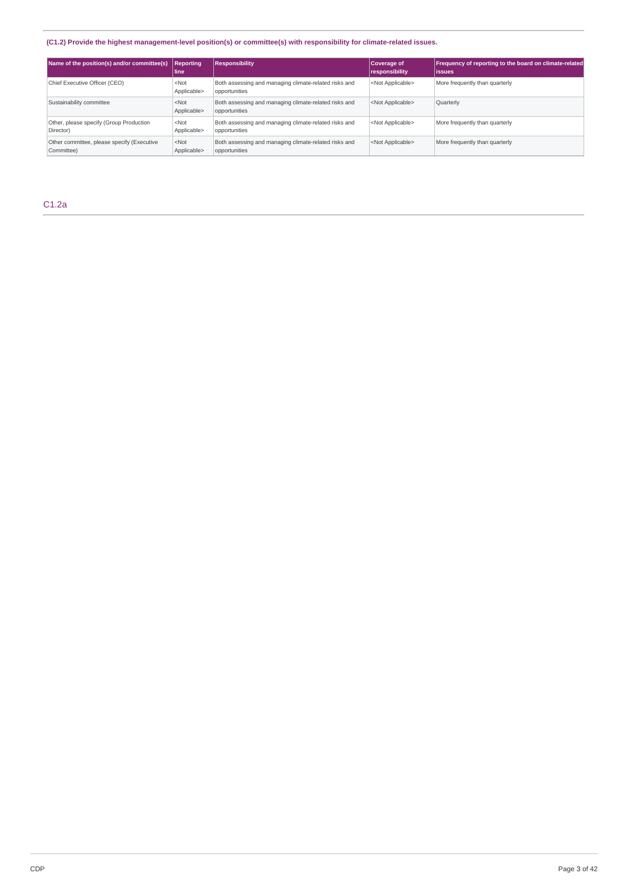## **(C1.2) Provide the highest management-level position(s) or committee(s) with responsibility for climate-related issues.**

| Name of the position(s) and/or committee(s) Reporting    | l line                 | <b>Responsibility</b>                                                  | Coverage of<br>responsibility | Frequency of reporting to the board on climate-related<br>lissues |
|----------------------------------------------------------|------------------------|------------------------------------------------------------------------|-------------------------------|-------------------------------------------------------------------|
| Chief Executive Officer (CEO)                            | $<$ Not<br>Applicable> | Both assessing and managing climate-related risks and<br>opportunities | <not applicable=""></not>     | More frequently than quarterly                                    |
| Sustainability committee                                 | $<$ Not<br>Applicable> | Both assessing and managing climate-related risks and<br>opportunities | <not applicable=""></not>     | Quarterly                                                         |
| Other, please specify (Group Production<br>Director)     | $<$ Not<br>Applicable> | Both assessing and managing climate-related risks and<br>opportunities | <not applicable=""></not>     | More frequently than quarterly                                    |
| Other committee, please specify (Executive<br>Committee) | $<$ Not<br>Applicable> | Both assessing and managing climate-related risks and<br>opportunities | <not applicable=""></not>     | More frequently than quarterly                                    |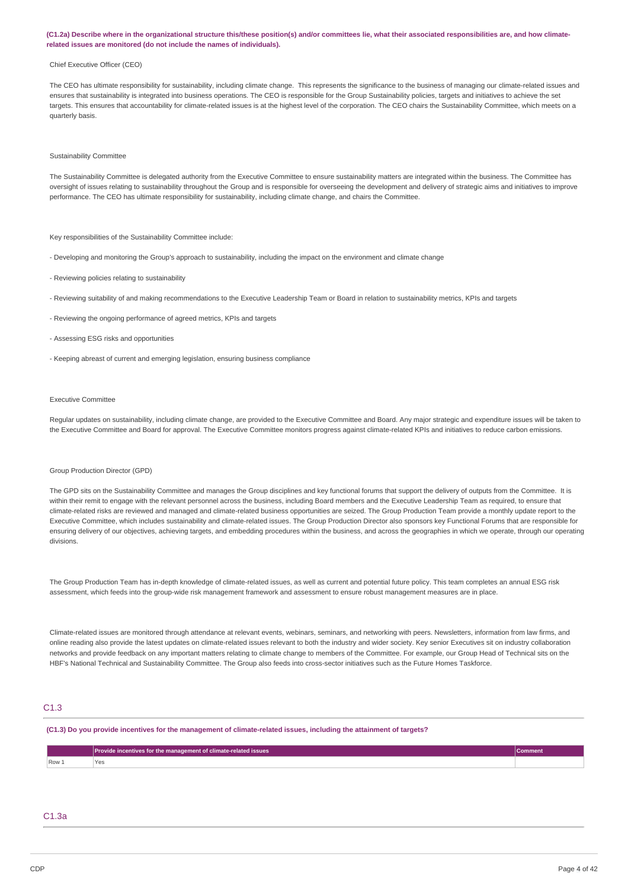### (C1.2a) Describe where in the organizational structure this/these position(s) and/or committees lie, what their associated responsibilities are, and how climate**related issues are monitored (do not include the names of individuals).**

### Chief Executive Officer (CEO)

The CEO has ultimate responsibility for sustainability, including climate change. This represents the significance to the business of managing our climate-related issues and ensures that sustainability is integrated into business operations. The CEO is responsible for the Group Sustainability policies, targets and initiatives to achieve the set targets. This ensures that accountability for climate-related issues is at the highest level of the corporation. The CEO chairs the Sustainability Committee, which meets on a quarterly basis.

### Sustainability Committee

The Sustainability Committee is delegated authority from the Executive Committee to ensure sustainability matters are integrated within the business. The Committee has oversight of issues relating to sustainability throughout the Group and is responsible for overseeing the development and delivery of strategic aims and initiatives to improve performance. The CEO has ultimate responsibility for sustainability, including climate change, and chairs the Committee.

Key responsibilities of the Sustainability Committee include:

- Developing and monitoring the Group's approach to sustainability, including the impact on the environment and climate change
- Reviewing policies relating to sustainability
- Reviewing suitability of and making recommendations to the Executive Leadership Team or Board in relation to sustainability metrics, KPIs and targets
- Reviewing the ongoing performance of agreed metrics, KPIs and targets
- Assessing ESG risks and opportunities
- Keeping abreast of current and emerging legislation, ensuring business compliance

### Executive Committee

Regular updates on sustainability, including climate change, are provided to the Executive Committee and Board. Any major strategic and expenditure issues will be taken to the Executive Committee and Board for approval. The Executive Committee monitors progress against climate-related KPIs and initiatives to reduce carbon emissions.

### Group Production Director (GPD)

The GPD sits on the Sustainability Committee and manages the Group disciplines and key functional forums that support the delivery of outputs from the Committee. It is within their remit to engage with the relevant personnel across the business, including Board members and the Executive Leadership Team as required, to ensure that climate-related risks are reviewed and managed and climate-related business opportunities are seized. The Group Production Team provide a monthly update report to the Executive Committee, which includes sustainability and climate-related issues. The Group Production Director also sponsors key Functional Forums that are responsible for ensuring delivery of our objectives, achieving targets, and embedding procedures within the business, and across the geographies in which we operate, through our operating divisions.

The Group Production Team has in-depth knowledge of climate-related issues, as well as current and potential future policy. This team completes an annual ESG risk assessment, which feeds into the group-wide risk management framework and assessment to ensure robust management measures are in place.

Climate-related issues are monitored through attendance at relevant events, webinars, seminars, and networking with peers. Newsletters, information from law firms, and online reading also provide the latest updates on climate-related issues relevant to both the industry and wider society. Key senior Executives sit on industry collaboration networks and provide feedback on any important matters relating to climate change to members of the Committee. For example, our Group Head of Technical sits on the HBF's National Technical and Sustainability Committee. The Group also feeds into cross-sector initiatives such as the Future Homes Taskforce.

#### C1.3

(C1.3) Do you provide incentives for the management of climate-related issues, including the attainment of targets?

|         | Provide incentives for the management of climate-related issues |  |
|---------|-----------------------------------------------------------------|--|
| $Row_1$ | Yes                                                             |  |
|         |                                                                 |  |

## C1.3a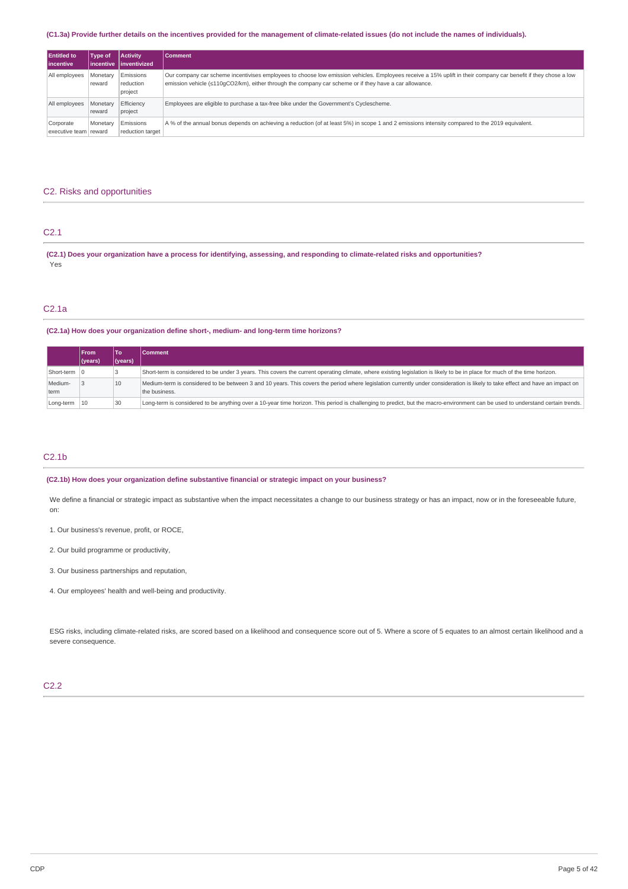## (C1.3a) Provide further details on the incentives provided for the management of climate-related issues (do not include the names of individuals).

| <b>Entitled to</b><br><b>lincentive</b> | <b>Type of</b>     | <b>Activity</b><br>lincentive linventivized | <b>Comment</b>                                                                                                                                                                                                                                                                   |
|-----------------------------------------|--------------------|---------------------------------------------|----------------------------------------------------------------------------------------------------------------------------------------------------------------------------------------------------------------------------------------------------------------------------------|
| All employees                           | Monetary<br>reward | Emissions<br>reduction<br>project           | Our company car scheme incentivises employees to choose low emission vehicles. Employees receive a 15% uplift in their company car benefit if they chose a low<br>emission vehicle ( $\leq 110qCO2/km$ ), either through the company car scheme or if they have a car allowance. |
| All employees                           | Monetary<br>reward | Efficiency<br>project                       | Employees are eligible to purchase a tax-free bike under the Government's Cyclescheme.                                                                                                                                                                                           |
| Corporate<br>executive team reward      | Monetary           | Emissions<br>reduction target               | A % of the annual bonus depends on achieving a reduction (of at least 5%) in scope 1 and 2 emissions intensity compared to the 2019 equivalent.                                                                                                                                  |

## C2. Risks and opportunities

## C2.1

(C2.1) Does your organization have a process for identifying, assessing, and responding to climate-related risks and opportunities? Yes

## C2.1a

### **(C2.1a) How does your organization define short-, medium- and long-term time horizons?**

|                 | <b>IFrom</b> | l Toʻ   | <b>Comment</b>                                                                                                                                                                                 |
|-----------------|--------------|---------|------------------------------------------------------------------------------------------------------------------------------------------------------------------------------------------------|
|                 | (years)      | (vears) |                                                                                                                                                                                                |
| Short-term      |              |         | Short-term is considered to be under 3 years. This covers the current operating climate, where existing legislation is likely to be in place for much of the time horizon.                     |
| Medium-<br>term |              | 10      | Medium-term is considered to be between 3 and 10 years. This covers the period where legislation currently under consideration is likely to take effect and have an impact on<br>the business. |
| Long-term       | $ 10\rangle$ | 30      | Long-term is considered to be anything over a 10-year time horizon. This period is challenging to predict, but the macro-environment can be used to understand certain trends.                 |

## C2.1b

## **(C2.1b) How does your organization define substantive financial or strategic impact on your business?**

We define a financial or strategic impact as substantive when the impact necessitates a change to our business strategy or has an impact, now or in the foreseeable future, on:

1. Our business's revenue, profit, or ROCE,

2. Our build programme or productivity,

3. Our business partnerships and reputation,

4. Our employees' health and well-being and productivity.

ESG risks, including climate-related risks, are scored based on a likelihood and consequence score out of 5. Where a score of 5 equates to an almost certain likelihood and a severe consequence.

## C2.2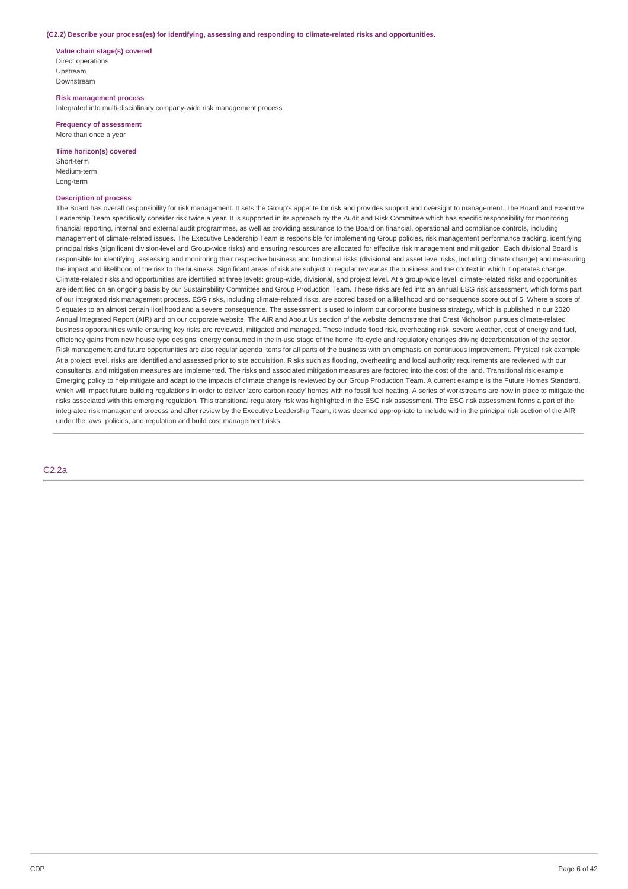#### **(C2.2) Describe your process(es) for identifying, assessing and responding to climate-related risks and opportunities.**

**Value chain stage(s) covered** Direct operations Upstream Downstream

**Risk management process** Integrated into multi-disciplinary company-wide risk management process

**Frequency of assessment** More than once a year

## **Time horizon(s) covered**

Short-term Medium-term Long-term

### **Description of process**

The Board has overall responsibility for risk management. It sets the Group's appetite for risk and provides support and oversight to management. The Board and Executive Leadership Team specifically consider risk twice a year. It is supported in its approach by the Audit and Risk Committee which has specific responsibility for monitoring financial reporting, internal and external audit programmes, as well as providing assurance to the Board on financial, operational and compliance controls, including management of climate-related issues. The Executive Leadership Team is responsible for implementing Group policies, risk management performance tracking, identifying principal risks (significant division-level and Group-wide risks) and ensuring resources are allocated for effective risk management and mitigation. Each divisional Board is responsible for identifying, assessing and monitoring their respective business and functional risks (divisional and asset level risks, including climate change) and measuring the impact and likelihood of the risk to the business. Significant areas of risk are subject to regular review as the business and the context in which it operates change. Climate-related risks and opportunities are identified at three levels: group-wide, divisional, and project level. At a group-wide level, climate-related risks and opportunities are identified on an ongoing basis by our Sustainability Committee and Group Production Team. These risks are fed into an annual ESG risk assessment, which forms part of our integrated risk management process. ESG risks, including climate-related risks, are scored based on a likelihood and consequence score out of 5. Where a score of 5 equates to an almost certain likelihood and a severe consequence. The assessment is used to inform our corporate business strategy, which is published in our 2020 Annual Integrated Report (AIR) and on our corporate website. The AIR and About Us section of the website demonstrate that Crest Nicholson pursues climate-related business opportunities while ensuring key risks are reviewed, mitigated and managed. These include flood risk, overheating risk, severe weather, cost of energy and fuel, efficiency gains from new house type designs, energy consumed in the in-use stage of the home life-cycle and regulatory changes driving decarbonisation of the sector. Risk management and future opportunities are also regular agenda items for all parts of the business with an emphasis on continuous improvement. Physical risk example At a project level, risks are identified and assessed prior to site acquisition. Risks such as flooding, overheating and local authority requirements are reviewed with our consultants, and mitigation measures are implemented. The risks and associated mitigation measures are factored into the cost of the land. Transitional risk example Emerging policy to help mitigate and adapt to the impacts of climate change is reviewed by our Group Production Team. A current example is the Future Homes Standard, which will impact future building regulations in order to deliver 'zero carbon ready' homes with no fossil fuel heating. A series of workstreams are now in place to mitigate the risks associated with this emerging regulation. This transitional regulatory risk was highlighted in the ESG risk assessment. The ESG risk assessment forms a part of the integrated risk management process and after review by the Executive Leadership Team, it was deemed appropriate to include within the principal risk section of the AIR under the laws, policies, and regulation and build cost management risks.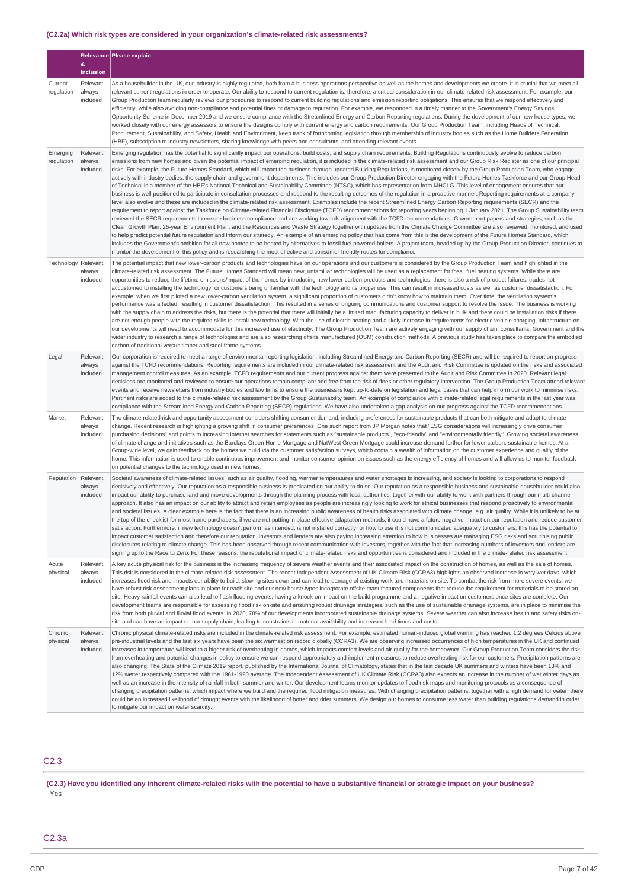## **(C2.2a) Which risk types are considered in your organization's climate-related risk assessments?**

|                        |                                 | Relevance Please explain                                                                                                                                                                                                                                                                                                                                                                                                                                                                                                                                                                                                                                                                                                                                                                                                                                                                                                                                                                                                                                                                                                                                                                                                                                                                                                                                                                                                                                                                                                                                                                                                                                                                                                                                                                                                                                                                                                                                                                                                                                                                                                                                                                                                                                                                                                                                                                                |
|------------------------|---------------------------------|---------------------------------------------------------------------------------------------------------------------------------------------------------------------------------------------------------------------------------------------------------------------------------------------------------------------------------------------------------------------------------------------------------------------------------------------------------------------------------------------------------------------------------------------------------------------------------------------------------------------------------------------------------------------------------------------------------------------------------------------------------------------------------------------------------------------------------------------------------------------------------------------------------------------------------------------------------------------------------------------------------------------------------------------------------------------------------------------------------------------------------------------------------------------------------------------------------------------------------------------------------------------------------------------------------------------------------------------------------------------------------------------------------------------------------------------------------------------------------------------------------------------------------------------------------------------------------------------------------------------------------------------------------------------------------------------------------------------------------------------------------------------------------------------------------------------------------------------------------------------------------------------------------------------------------------------------------------------------------------------------------------------------------------------------------------------------------------------------------------------------------------------------------------------------------------------------------------------------------------------------------------------------------------------------------------------------------------------------------------------------------------------------------|
|                        | &<br>inclusion                  |                                                                                                                                                                                                                                                                                                                                                                                                                                                                                                                                                                                                                                                                                                                                                                                                                                                                                                                                                                                                                                                                                                                                                                                                                                                                                                                                                                                                                                                                                                                                                                                                                                                                                                                                                                                                                                                                                                                                                                                                                                                                                                                                                                                                                                                                                                                                                                                                         |
| Current<br>regulation  | Relevant,<br>always<br>included | As a housebuilder in the UK, our industry is highly regulated, both from a business operations perspective as well as the homes and developments we create. It is crucial that we meet all<br>relevant current regulations in order to operate. Our ability to respond to current regulation is, therefore, a critical consideration in our climate-related risk assessment. For example, our<br>Group Production team regularly reviews our procedures to respond to current building regulations and emission reporting obligations. This ensures that we respond effectively and<br>efficiently, while also avoiding non-compliance and potential fines or damage to reputation. For example, we responded in a timely manner to the Government's Energy Savings<br>Opportunity Scheme in December 2019 and we ensure compliance with the Streamlined Energy and Carbon Reporting regulations. During the development of our new house types, we<br>worked closely with our energy assessors to ensure the designs comply with current energy and carbon requirements. Our Group Production Team, including Heads of Technical,<br>Procurement, Sustainability, and Safety, Health and Environment, keep track of forthcoming legislation through membership of industry bodies such as the Home Builders Federation<br>(HBF), subscription to industry newsletters, sharing knowledge with peers and consultants, and attending relevant events.                                                                                                                                                                                                                                                                                                                                                                                                                                                                                                                                                                                                                                                                                                                                                                                                                                                                                                                                                    |
| Emerging<br>regulation | Relevant,<br>always<br>included | Emerging regulation has the potential to significantly impact our operations, build costs, and supply chain requirements. Building Regulations continuously evolve to reduce carbon<br>emissions from new homes and given the potential impact of emerging regulation, it is included in the climate-related risk assessment and our Group Risk Register as one of our principal<br>risks. For example, the Future Homes Standard, which will impact the business through updated Building Regulations, is monitored closely by the Group Production Team, who engage<br>actively with industry bodies, the supply chain and government departments. This includes our Group Production Director engaging with the Future Homes Taskforce and our Group Head<br>of Technical is a member of the HBF's National Technical and Sustainability Committee (NTSC), which has representation from MHCLG. This level of engagement ensures that our<br>business is well-positioned to participate in consultation processes and respond to the resulting outcomes of the regulation in a proactive manner. Reporting requirements at a company<br>level also evolve and these are included in the climate-related risk assessment. Examples include the recent Streamlined Energy Carbon Reporting requirements (SECR) and the<br>requirement to report against the Taskforce on Climate-related Financial Disclosure (TCFD) recommendations for reporting years beginning 1 January 2021. The Group Sustainability team<br>reviewed the SECR requirements to ensure business compliance and are working towards alignment with the TCFD recommendations. Government papers and strategies, such as the<br>Clean Growth Plan, 25-year Environment Plan, and the Resources and Waste Strategy together with updates from the Climate Change Committee are also reviewed, monitored, and used<br>to help predict potential future regulation and inform our strategy. An example of an emerging policy that has come from this is the development of the Future Homes Standard, which<br>includes the Government's ambition for all new homes to be heated by alternatives to fossil fuel-powered boilers. A project team, headed up by the Group Production Director, continues to<br>monitor the development of this policy and is researching the most effective and consumer-friendly routes for compliance. |
| Technology             | Relevant<br>always<br>included  | The potential impact that new lower-carbon products and technologies have on our operations and our customers is considered by the Group Production Team and highlighted in the<br>climate-related risk assessment. The Future Homes Standard will mean new, unfamiliar technologies will be used as a replacement for fossil fuel heating systems. While there are<br>opportunities to reduce the lifetime emissions/impact of the homes by introducing new lower-carbon products and technologies, there is also a risk of product failures, trades not<br>accustomed to installing the technology, or customers being unfamiliar with the technology and its proper use. This can result in increased costs as well as customer dissatisfaction. For<br>example, when we first piloted a new lower-carbon ventilation system, a significant proportion of customers didn't know how to maintain them. Over time, the ventilation system's<br>performance was affected, resulting in customer dissatisfaction. This resulted in a series of ongoing communications and customer support to resolve the issue. The business is working<br>with the supply chain to address the risks, but there is the potential that there will initially be a limited manufacturing capacity to deliver in bulk and there could be installation risks if there<br>are not enough people with the required skills to install new technology. With the use of electric heating and a likely increase in requirements for electric vehicle charging, infrastructure on<br>our developments will need to accommodate for this increased use of electricity. The Group Production Team are actively engaging with our supply chain, consultants, Government and the<br>wider industry to research a range of technologies and are also researching offsite manufactured (OSM) construction methods. A previous study has taken place to compare the embodied<br>carbon of traditional versus timber and steel frame systems.                                                                                                                                                                                                                                                                                                                                                                                              |
| Legal                  | Relevant,<br>always<br>included | Our corporation is required to meet a range of environmental reporting legislation, including Streamlined Energy and Carbon Reporting (SECR) and will be required to report on progress<br>against the TCFD recommendations. Reporting requirements are included in our climate-related risk assessment and the Audit and Risk Committee is updated on the risks and associated<br>management control measures. As an example, TCFD requirements and our current progress against them were presented to the Audit and Risk Committee in 2020. Relevant legal<br>decisions are monitored and reviewed to ensure our operations remain compliant and free from the risk of fines or other regulatory intervention. The Group Production Team attend relevant<br>events and receive newsletters from industry bodies and law firms to ensure the business is kept up-to-date on legislation and legal cases that can help inform our work to minimise risks.<br>Pertinent risks are added to the climate-related risk assessment by the Group Sustainability team. An example of compliance with climate-related legal requirements in the last year was<br>compliance with the Streamlined Energy and Carbon Reporting (SECR) regulations. We have also undertaken a gap analysis on our progress against the TCFD recommendations.                                                                                                                                                                                                                                                                                                                                                                                                                                                                                                                                                                                                                                                                                                                                                                                                                                                                                                                                                                                                                                                                      |
| Market                 | Relevant,<br>always<br>included | The climate-related risk and opportunity assessment considers shifting consumer demand, including preferences for sustainable products that can both mitigate and adapt to climate<br>change. Recent research is highlighting a growing shift in consumer preferences. One such report from JP Morgan notes that "ESG considerations will increasingly drive consumer<br>purchasing decisions" and points to increasing internet searches for statements such as "sustainable products", "eco-friendly" and "environmentally friendly". Growing societal awareness<br>of climate change and initiatives such as the Barclays Green Home Mortgage and NatWest Green Mortgage could increase demand further for lower carbon, sustainable homes. At a<br>Group-wide level, we gain feedback on the homes we build via the customer satisfaction surveys, which contain a wealth of information on the customer experience and quality of the<br>home. This information is used to enable continuous improvement and monitor consumer opinion on issues such as the energy efficiency of homes and will allow us to monitor feedback<br>on potential changes to the technology used in new homes.                                                                                                                                                                                                                                                                                                                                                                                                                                                                                                                                                                                                                                                                                                                                                                                                                                                                                                                                                                                                                                                                                                                                                                                                          |
| Reputation   Relevant, | always<br>included              | Societal awareness of climate-related issues, such as air quality, flooding, warmer temperatures and water shortages is increasing, and society is looking to corporations to respond<br>decisively and effectively. Our reputation as a responsible business is predicated on our ability to do so. Our reputation as a responsible business and sustainable housebuilder could also<br>impact our ability to purchase land and move developments through the planning process with local authorities, together with our ability to work with partners through our multi-channel<br>approach. It also has an impact on our ability to attract and retain employees as people are increasingly looking to work for ethical businesses that respond proactively to environmental<br>and societal issues. A clear example here is the fact that there is an increasing public awareness of health risks associated with climate change, e.g. air quality. While it is unlikely to be at<br>the top of the checklist for most home purchasers, if we are not putting in place effective adaptation methods, it could have a future negative impact on our reputation and reduce customer<br>satisfaction. Furthermore, if new technology doesn't perform as intended, is not installed correctly, or how to use it is not communicated adequately to customers, this has the potential to<br>impact customer satisfaction and therefore our reputation. Investors and lenders are also paying increasing attention to how businesses are managing ESG risks and scrutinising public<br>disclosures relating to climate change. This has been observed through recent communication with investors, together with the fact that increasing numbers of investors and lenders are<br>signing up to the Race to Zero. For these reasons, the reputational impact of climate-related risks and opportunities is considered and included in the climate-related risk assessment.                                                                                                                                                                                                                                                                                                                                                                                                                                 |
| Acute<br>physical      | Relevant,<br>always<br>included | A key acute physical risk for the business is the increasing frequency of severe weather events and their associated impact on the construction of homes, as well as the sale of homes.<br>This risk is considered in the climate-related risk assessment. The recent Independent Assessment of UK Climate Risk (CCRA3) highlights an observed increase in very wet days, which<br>increases flood risk and impacts our ability to build, slowing sites down and can lead to damage of existing work and materials on site. To combat the risk from more severe events, we<br>have robust risk assessment plans in place for each site and our new house types incorporate offsite manufactured components that reduce the requirement for materials to be stored on<br>site. Heavy rainfall events can also lead to flash flooding events, having a knock-on impact on the build programme and a negative impact on customers once sites are complete. Our<br>development teams are responsible for assessing flood risk on-site and ensuring robust drainage strategies, such as the use of sustainable drainage systems, are in place to minimise the<br>risk from both pluvial and fluvial flood events. In 2020, 78% of our developments incorporated sustainable drainage systems. Severe weather can also increase health and safety risks on-<br>site and can have an impact on our supply chain, leading to constraints in material availability and increased lead times and costs.                                                                                                                                                                                                                                                                                                                                                                                                                                                                                                                                                                                                                                                                                                                                                                                                                                                                                                           |
| Chronic<br>physical    | Relevant,<br>always<br>included | Chronic physical climate-related risks are included in the climate-related risk assessment. For example, estimated human-induced global warming has reached 1.2 degrees Celcius above<br>pre-industrial levels and the last six years have been the six warmest on record globally (CCRA3). We are observing increased occurrences of high temperatures in the UK and continued<br>increases in temperature will lead to a higher risk of overheating in homes, which impacts comfort levels and air quality for the homeowner. Our Group Production Team considers the risk<br>from overheating and potential changes in policy to ensure we can respond appropriately and implement measures to reduce overheating risk for our customers. Precipitation patterns are<br>also changing. The State of the Climate 2019 report, published by the International Journal of Climatology, states that in the last decade UK summers and winters have been 13% and<br>12% wetter respectively compared with the 1961-1990 average. The Independent Assessment of UK Climate Risk (CCRA3) also expects an increase in the number of wet winter days as<br>well as an increase in the intensity of rainfall in both summer and winter. Our development teams monitor updates to flood risk maps and monitoring protocols as a consequence of<br>changing precipitation patterns, which impact where we build and the required flood mitigation measures. With changing precipitation patterns, together with a high demand for water, there<br>could be an increased likelihood of drought events with the likelihood of hotter and drier summers. We design our homes to consume less water than building regulations demand in order<br>to mitigate our impact on water scarcity.                                                                                                                                                                                                                                                                                                                                                                                                                                                                                                                                                                                                                           |

## C2.3

(C2.3) Have you identified any inherent climate-related risks with the potential to have a substantive financial or strategic impact on your business? Yes

C2.3a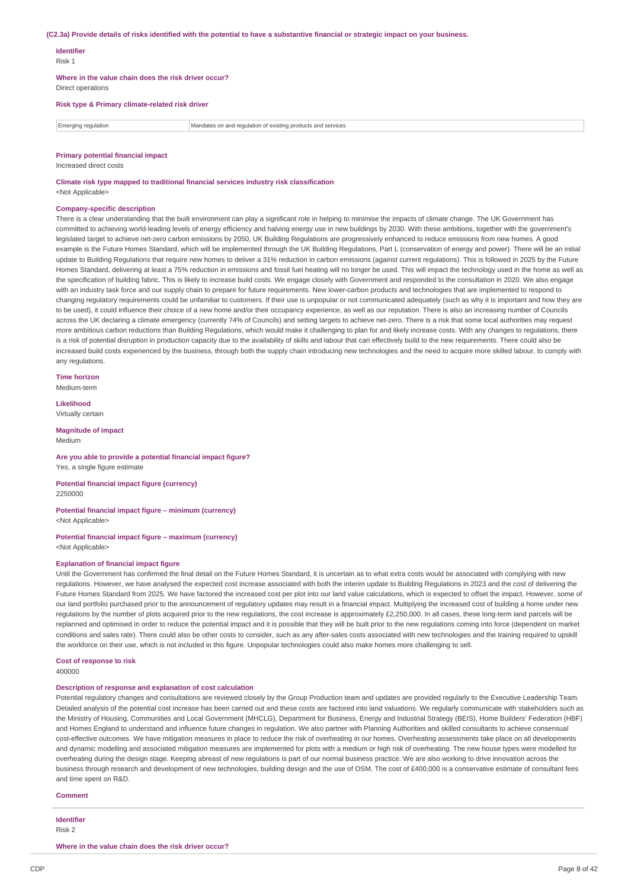#### (C2.3a) Provide details of risks identified with the potential to have a substantive financial or strategic impact on your business.

### **Identifier**

Risk 1

**Where in the value chain does the risk driver occur?** Direct operations

#### **Risk type & Primary climate-related risk driver**

Emerging regulation Mandates on and regulation of existing products and services

#### **Primary potential financial impact**

Increased direct costs

**Climate risk type mapped to traditional financial services industry risk classification** <Not Applicable>

#### **Company-specific description**

There is a clear understanding that the built environment can play a significant role in helping to minimise the impacts of climate change. The UK Government has committed to achieving world-leading levels of energy efficiency and halving energy use in new buildings by 2030. With these ambitions, together with the government's legislated target to achieve net-zero carbon emissions by 2050, UK Building Regulations are progressively enhanced to reduce emissions from new homes. A good example is the Future Homes Standard, which will be implemented through the UK Building Regulations, Part L (conservation of energy and power). There will be an initial update to Building Regulations that require new homes to deliver a 31% reduction in carbon emissions (against current regulations). This is followed in 2025 by the Future Homes Standard, delivering at least a 75% reduction in emissions and fossil fuel heating will no longer be used. This will impact the technology used in the home as well as the specification of building fabric. This is likely to increase build costs. We engage closely with Government and responded to the consultation in 2020. We also engage with an industry task force and our supply chain to prepare for future requirements. New lower-carbon products and technologies that are implemented to respond to changing regulatory requirements could be unfamiliar to customers. If their use is unpopular or not communicated adequately (such as why it is important and how they are to be used), it could influence their choice of a new home and/or their occupancy experience, as well as our reputation. There is also an increasing number of Councils across the UK declaring a climate emergency (currently 74% of Councils) and setting targets to achieve net-zero. There is a risk that some local authorities may request more ambitious carbon reductions than Building Regulations, which would make it challenging to plan for and likely increase costs. With any changes to regulations, there is a risk of potential disruption in production capacity due to the availability of skills and labour that can effectively build to the new requirements. There could also be increased build costs experienced by the business, through both the supply chain introducing new technologies and the need to acquire more skilled labour, to comply with any regulations.

**Time horizon** Medium-term

**Likelihood** Virtually certain

**Magnitude of impact** Medium

**Are you able to provide a potential financial impact figure?** Yes, a single figure estimate

**Potential financial impact figure (currency)**

2250000

**Potential financial impact figure – minimum (currency)** <Not Applicable>

#### **Potential financial impact figure – maximum (currency)** <Not Applicable>

### **Explanation of financial impact figure**

Until the Government has confirmed the final detail on the Future Homes Standard, it is uncertain as to what extra costs would be associated with complying with new regulations. However, we have analysed the expected cost increase associated with both the interim update to Building Regulations in 2023 and the cost of delivering the Future Homes Standard from 2025. We have factored the increased cost per plot into our land value calculations, which is expected to offset the impact. However, some of our land portfolio purchased prior to the announcement of regulatory updates may result in a financial impact. Multiplying the increased cost of building a home under new regulations by the number of plots acquired prior to the new regulations, the cost increase is approximately £2,250,000. In all cases, these long-term land parcels will be replanned and optimised in order to reduce the potential impact and it is possible that they will be built prior to the new regulations coming into force (dependent on market conditions and sales rate). There could also be other costs to consider, such as any after-sales costs associated with new technologies and the training required to upskill the workforce on their use, which is not included in this figure. Unpopular technologies could also make homes more challenging to sell.

**Cost of response to risk**

400000

### **Description of response and explanation of cost calculation**

Potential regulatory changes and consultations are reviewed closely by the Group Production team and updates are provided regularly to the Executive Leadership Team. Detailed analysis of the potential cost increase has been carried out and these costs are factored into land valuations. We regularly communicate with stakeholders such as the Ministry of Housing, Communities and Local Government (MHCLG), Department for Business, Energy and Industrial Strategy (BEIS), Home Builders' Federation (HBF) and Homes England to understand and influence future changes in regulation. We also partner with Planning Authorities and skilled consultants to achieve consensual cost-effective outcomes. We have mitigation measures in place to reduce the risk of overheating in our homes. Overheating assessments take place on all developments and dynamic modelling and associated mitigation measures are implemented for plots with a medium or high risk of overheating. The new house types were modelled for overheating during the design stage. Keeping abreast of new regulations is part of our normal business practice. We are also working to drive innovation across the business through research and development of new technologies, building design and the use of OSM. The cost of £400,000 is a conservative estimate of consultant fees and time spent on R&D.

#### **Comment**

**Identifier** Risk 2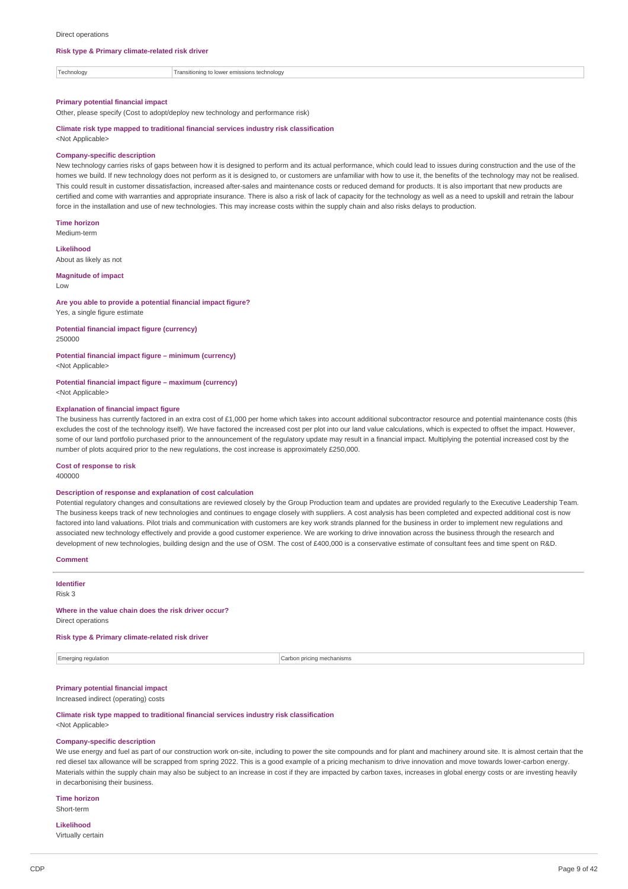#### **Risk type & Primary climate-related risk driver**

Technology Transitioning to lower emissions technology

#### **Primary potential financial impact**

Other, please specify (Cost to adopt/deploy new technology and performance risk)

## **Climate risk type mapped to traditional financial services industry risk classification**

<Not Applicable>

#### **Company-specific description**

New technology carries risks of gaps between how it is designed to perform and its actual performance, which could lead to issues during construction and the use of the homes we build. If new technology does not perform as it is designed to, or customers are unfamiliar with how to use it, the benefits of the technology may not be realised. This could result in customer dissatisfaction, increased after-sales and maintenance costs or reduced demand for products. It is also important that new products are certified and come with warranties and appropriate insurance. There is also a risk of lack of capacity for the technology as well as a need to upskill and retrain the labour force in the installation and use of new technologies. This may increase costs within the supply chain and also risks delays to production.

**Time horizon** Medium-term

#### **Likelihood**

About as likely as not

#### **Magnitude of impact**

Low

#### **Are you able to provide a potential financial impact figure?** Yes, a single figure estimate

**Potential financial impact figure (currency)** 250000

#### **Potential financial impact figure – minimum (currency)** <Not Applicable>

## **Potential financial impact figure – maximum (currency)**

<Not Applicable>

## **Explanation of financial impact figure**

The business has currently factored in an extra cost of £1,000 per home which takes into account additional subcontractor resource and potential maintenance costs (this excludes the cost of the technology itself). We have factored the increased cost per plot into our land value calculations, which is expected to offset the impact. However, some of our land portfolio purchased prior to the announcement of the regulatory update may result in a financial impact. Multiplying the potential increased cost by the number of plots acquired prior to the new regulations, the cost increase is approximately £250,000.

#### **Cost of response to risk**

400000

## **Description of response and explanation of cost calculation**

Potential regulatory changes and consultations are reviewed closely by the Group Production team and updates are provided regularly to the Executive Leadership Team. The business keeps track of new technologies and continues to engage closely with suppliers. A cost analysis has been completed and expected additional cost is now factored into land valuations. Pilot trials and communication with customers are key work strands planned for the business in order to implement new regulations and associated new technology effectively and provide a good customer experience. We are working to drive innovation across the business through the research and development of new technologies, building design and the use of OSM. The cost of £400,000 is a conservative estimate of consultant fees and time spent on R&D.

### **Comment**

**Identifier** Risk 3

## **Where in the value chain does the risk driver occur?**

Direct operations

### **Risk type & Primary climate-related risk driver**

Emerging regulation Carbon pricing mechanisms

# **Primary potential financial impact**

Increased indirect (operating) costs

### **Climate risk type mapped to traditional financial services industry risk classification** <Not Applicable>

### **Company-specific description**

We use energy and fuel as part of our construction work on-site, including to power the site compounds and for plant and machinery around site. It is almost certain that the red diesel tax allowance will be scrapped from spring 2022. This is a good example of a pricing mechanism to drive innovation and move towards lower-carbon energy. Materials within the supply chain may also be subject to an increase in cost if they are impacted by carbon taxes, increases in global energy costs or are investing heavily in decarbonising their business.

**Time horizon**

Short-term

## **Likelihood**

Virtually certain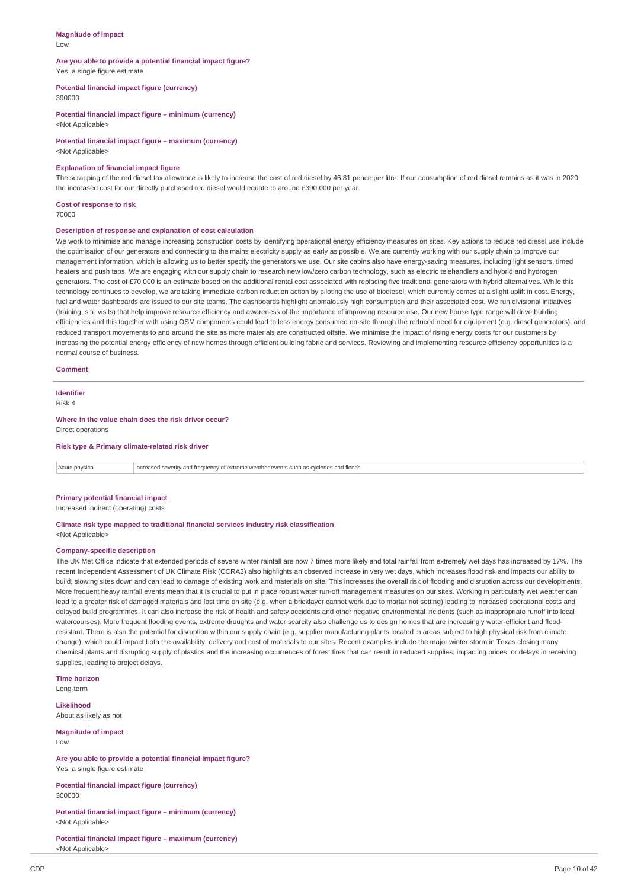#### **Magnitude of impact** Low

### **Are you able to provide a potential financial impact figure?** Yes, a single figure estimate

#### **Potential financial impact figure (currency)** 390000

**Potential financial impact figure – minimum (currency)** <Not Applicable>

**Potential financial impact figure – maximum (currency)** <Not Applicable>

### **Explanation of financial impact figure**

The scrapping of the red diesel tax allowance is likely to increase the cost of red diesel by 46.81 pence per litre. If our consumption of red diesel remains as it was in 2020, the increased cost for our directly purchased red diesel would equate to around £390,000 per year.

#### **Cost of response to risk** 70000

## **Description of response and explanation of cost calculation**

We work to minimise and manage increasing construction costs by identifying operational energy efficiency measures on sites. Key actions to reduce red diesel use include the optimisation of our generators and connecting to the mains electricity supply as early as possible. We are currently working with our supply chain to improve our management information, which is allowing us to better specify the generators we use. Our site cabins also have energy-saving measures, including light sensors, timed heaters and push taps. We are engaging with our supply chain to research new low/zero carbon technology, such as electric telehandlers and hybrid and hydrogen generators. The cost of £70,000 is an estimate based on the additional rental cost associated with replacing five traditional generators with hybrid alternatives. While this technology continues to develop, we are taking immediate carbon reduction action by piloting the use of biodiesel, which currently comes at a slight uplift in cost. Energy, fuel and water dashboards are issued to our site teams. The dashboards highlight anomalously high consumption and their associated cost. We run divisional initiatives (training, site visits) that help improve resource efficiency and awareness of the importance of improving resource use. Our new house type range will drive building efficiencies and this together with using OSM components could lead to less energy consumed on-site through the reduced need for equipment (e.g. diesel generators), and reduced transport movements to and around the site as more materials are constructed offsite. We minimise the impact of rising energy costs for our customers by increasing the potential energy efficiency of new homes through efficient building fabric and services. Reviewing and implementing resource efficiency opportunities is a normal course of business.

#### **Comment**

**Identifier** Risk 4

# **Where in the value chain does the risk driver occur?**

Direct operations

## **Risk type & Primary climate-related risk driver**

Acute physical Increased severity and frequency of extreme weather events such as cyclones and floods

### **Primary potential financial impact**

Increased indirect (operating) costs

**Climate risk type mapped to traditional financial services industry risk classification** <Not Applicable>

### **Company-specific description**

The UK Met Office indicate that extended periods of severe winter rainfall are now 7 times more likely and total rainfall from extremely wet days has increased by 17%. The recent Independent Assessment of UK Climate Risk (CCRA3) also highlights an observed increase in very wet days, which increases flood risk and impacts our ability to build, slowing sites down and can lead to damage of existing work and materials on site. This increases the overall risk of flooding and disruption across our developments. More frequent heavy rainfall events mean that it is crucial to put in place robust water run-off management measures on our sites. Working in particularly wet weather can lead to a greater risk of damaged materials and lost time on site (e.g. when a bricklayer cannot work due to mortar not setting) leading to increased operational costs and delayed build programmes. It can also increase the risk of health and safety accidents and other negative environmental incidents (such as inappropriate runoff into local watercourses). More frequent flooding events, extreme droughts and water scarcity also challenge us to design homes that are increasingly water-efficient and floodresistant. There is also the potential for disruption within our supply chain (e.g. supplier manufacturing plants located in areas subject to high physical risk from climate change), which could impact both the availability, delivery and cost of materials to our sites. Recent examples include the major winter storm in Texas closing many chemical plants and disrupting supply of plastics and the increasing occurrences of forest fires that can result in reduced supplies, impacting prices, or delays in receiving supplies, leading to project delays.

**Time horizon**

Long-term

**Likelihood**

About as likely as not

**Magnitude of impact** Low

**Are you able to provide a potential financial impact figure?** Yes, a single figure estimate

**Potential financial impact figure (currency)** 300000

**Potential financial impact figure – minimum (currency)** <Not Applicable>

**Potential financial impact figure – maximum (currency)** <Not Applicable>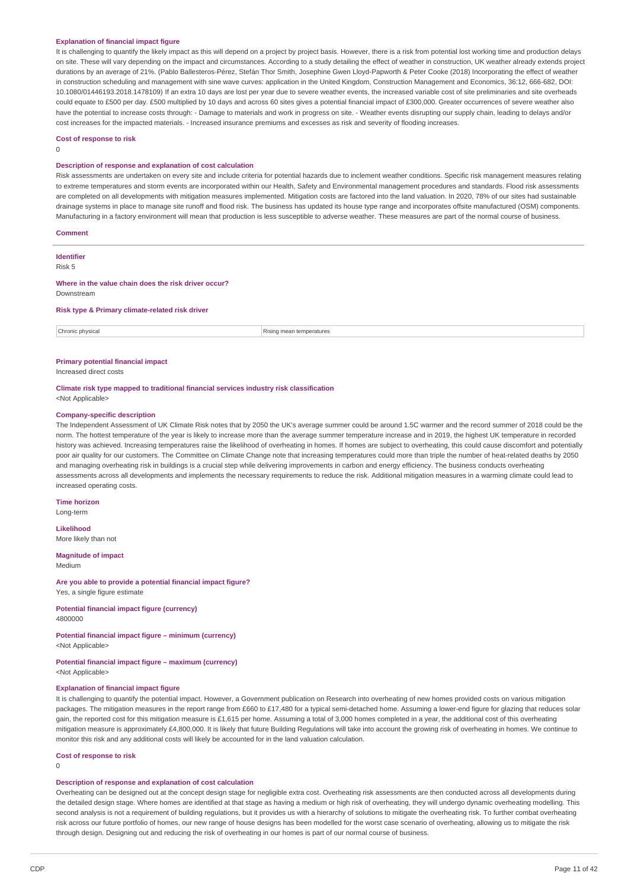### **Explanation of financial impact figure**

It is challenging to quantify the likely impact as this will depend on a project by project basis. However, there is a risk from potential lost working time and production delays on site. These will vary depending on the impact and circumstances. According to a study detailing the effect of weather in construction, UK weather already extends project durations by an average of 21%. (Pablo Ballesteros-Pérez, Stefán Thor Smith, Josephine Gwen Lloyd-Papworth & Peter Cooke (2018) Incorporating the effect of weather in construction scheduling and management with sine wave curves: application in the United Kingdom, Construction Management and Economics, 36:12, 666-682, DOI: 10.1080/01446193.2018.1478109) If an extra 10 days are lost per year due to severe weather events, the increased variable cost of site preliminaries and site overheads could equate to £500 per day. £500 multiplied by 10 days and across 60 sites gives a potential financial impact of £300,000. Greater occurrences of severe weather also have the potential to increase costs through: - Damage to materials and work in progress on site. - Weather events disrupting our supply chain, leading to delays and/or cost increases for the impacted materials. - Increased insurance premiums and excesses as risk and severity of flooding increases.

#### **Cost of response to risk**

 $\Omega$ 

### **Description of response and explanation of cost calculation**

Risk assessments are undertaken on every site and include criteria for potential hazards due to inclement weather conditions. Specific risk management measures relating to extreme temperatures and storm events are incorporated within our Health, Safety and Environmental management procedures and standards. Flood risk assessments are completed on all developments with mitigation measures implemented. Mitigation costs are factored into the land valuation. In 2020, 78% of our sites had sustainable drainage systems in place to manage site runoff and flood risk. The business has updated its house type range and incorporates offsite manufactured (OSM) components. Manufacturing in a factory environment will mean that production is less susceptible to adverse weather. These measures are part of the normal course of business.

**Comment**

# **Identifier**

Risk 5

#### **Where in the value chain does the risk driver occur?** Downstream

#### **Risk type & Primary climate-related risk driver**

**Chronic physical** Rising mean temperatures

#### **Primary potential financial impact**

Increased direct costs

## **Climate risk type mapped to traditional financial services industry risk classification**

<Not Applicable>

#### **Company-specific description**

The Independent Assessment of UK Climate Risk notes that by 2050 the UK's average summer could be around 1.5C warmer and the record summer of 2018 could be the norm. The hottest temperature of the year is likely to increase more than the average summer temperature increase and in 2019, the highest UK temperature in recorded history was achieved. Increasing temperatures raise the likelihood of overheating in homes. If homes are subject to overheating, this could cause discomfort and potentially poor air quality for our customers. The Committee on Climate Change note that increasing temperatures could more than triple the number of heat-related deaths by 2050 and managing overheating risk in buildings is a crucial step while delivering improvements in carbon and energy efficiency. The business conducts overheating assessments across all developments and implements the necessary requirements to reduce the risk. Additional mitigation measures in a warming climate could lead to increased operating costs.

**Time horizon** Long-term

**Likelihood** More likely than not

**Magnitude of impact** Medium

### **Are you able to provide a potential financial impact figure?** Yes, a single figure estimate

**Potential financial impact figure (currency)** 4800000

**Potential financial impact figure – minimum (currency)** <Not Applicable>

### **Potential financial impact figure – maximum (currency)** <Not Applicable>

#### **Explanation of financial impact figure**

It is challenging to quantify the potential impact. However, a Government publication on Research into overheating of new homes provided costs on various mitigation packages. The mitigation measures in the report range from £660 to £17,480 for a typical semi-detached home. Assuming a lower-end figure for glazing that reduces solar gain, the reported cost for this mitigation measure is £1,615 per home. Assuming a total of 3,000 homes completed in a year, the additional cost of this overheating mitigation measure is approximately £4,800,000. It is likely that future Building Regulations will take into account the growing risk of overheating in homes. We continue to monitor this risk and any additional costs will likely be accounted for in the land valuation calculation.

### **Cost of response to risk**

0

### **Description of response and explanation of cost calculation**

Overheating can be designed out at the concept design stage for negligible extra cost. Overheating risk assessments are then conducted across all developments during the detailed design stage. Where homes are identified at that stage as having a medium or high risk of overheating, they will undergo dynamic overheating modelling. This second analysis is not a requirement of building regulations, but it provides us with a hierarchy of solutions to mitigate the overheating risk. To further combat overheating risk across our future portfolio of homes, our new range of house designs has been modelled for the worst case scenario of overheating, allowing us to mitigate the risk through design. Designing out and reducing the risk of overheating in our homes is part of our normal course of business.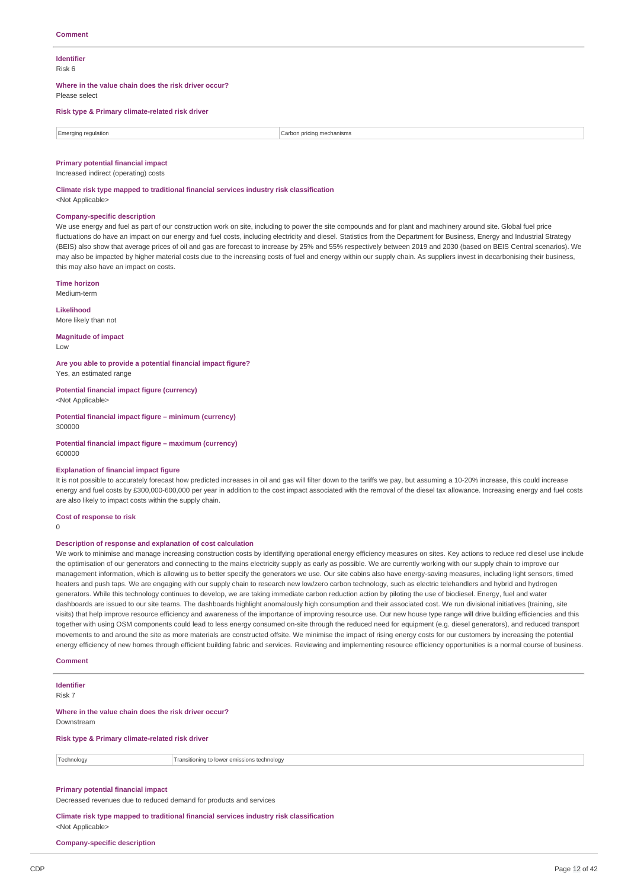#### **Identifier** Risk 6

**Where in the value chain does the risk driver occur?**

Please select

### **Risk type & Primary climate-related risk driver**

| --<br>$-$<br>a requiation<br>mergini.<br>. | vicing mechanisms<br>`arn∩n |
|--------------------------------------------|-----------------------------|

#### **Primary potential financial impact**

Increased indirect (operating) costs

**Climate risk type mapped to traditional financial services industry risk classification**

<Not Applicable>

## **Company-specific description**

We use energy and fuel as part of our construction work on site, including to power the site compounds and for plant and machinery around site. Global fuel price fluctuations do have an impact on our energy and fuel costs, including electricity and diesel. Statistics from the Department for Business, Energy and Industrial Strategy (BEIS) also show that average prices of oil and gas are forecast to increase by 25% and 55% respectively between 2019 and 2030 (based on BEIS Central scenarios). We may also be impacted by higher material costs due to the increasing costs of fuel and energy within our supply chain. As suppliers invest in decarbonising their business, this may also have an impact on costs.

**Time horizon** Medium-term

**Likelihood** More likely than not

**Magnitude of impact**

Low

**Are you able to provide a potential financial impact figure?** Yes, an estimated range

**Potential financial impact figure (currency)**

<Not Applicable>

**Potential financial impact figure – minimum (currency)** 300000

**Potential financial impact figure – maximum (currency)** 600000

#### **Explanation of financial impact figure**

It is not possible to accurately forecast how predicted increases in oil and gas will filter down to the tariffs we pay, but assuming a 10-20% increase, this could increase energy and fuel costs by £300,000-600,000 per year in addition to the cost impact associated with the removal of the diesel tax allowance. Increasing energy and fuel costs are also likely to impact costs within the supply chain.

#### **Cost of response to risk**

 $\theta$ 

#### **Description of response and explanation of cost calculation**

We work to minimise and manage increasing construction costs by identifying operational energy efficiency measures on sites. Key actions to reduce red diesel use include the optimisation of our generators and connecting to the mains electricity supply as early as possible. We are currently working with our supply chain to improve our management information, which is allowing us to better specify the generators we use. Our site cabins also have energy-saving measures, including light sensors, timed heaters and push taps. We are engaging with our supply chain to research new low/zero carbon technology, such as electric telehandlers and hybrid and hydrogen generators. While this technology continues to develop, we are taking immediate carbon reduction action by piloting the use of biodiesel. Energy, fuel and water dashboards are issued to our site teams. The dashboards highlight anomalously high consumption and their associated cost. We run divisional initiatives (training, site visits) that help improve resource efficiency and awareness of the importance of improving resource use. Our new house type range will drive building efficiencies and this together with using OSM components could lead to less energy consumed on-site through the reduced need for equipment (e.g. diesel generators), and reduced transport movements to and around the site as more materials are constructed offsite. We minimise the impact of rising energy costs for our customers by increasing the potential energy efficiency of new homes through efficient building fabric and services. Reviewing and implementing resource efficiency opportunities is a normal course of business.

**Comment**

## **Identifier**

Risk 7

**Where in the value chain does the risk driver occur?** Downstream

**Risk type & Primary climate-related risk driver**

Transitioning to lower emissions technology

### **Primary potential financial impact**

Decreased revenues due to reduced demand for products and services

#### **Climate risk type mapped to traditional financial services industry risk classification** <Not Applicable>

**Company-specific description**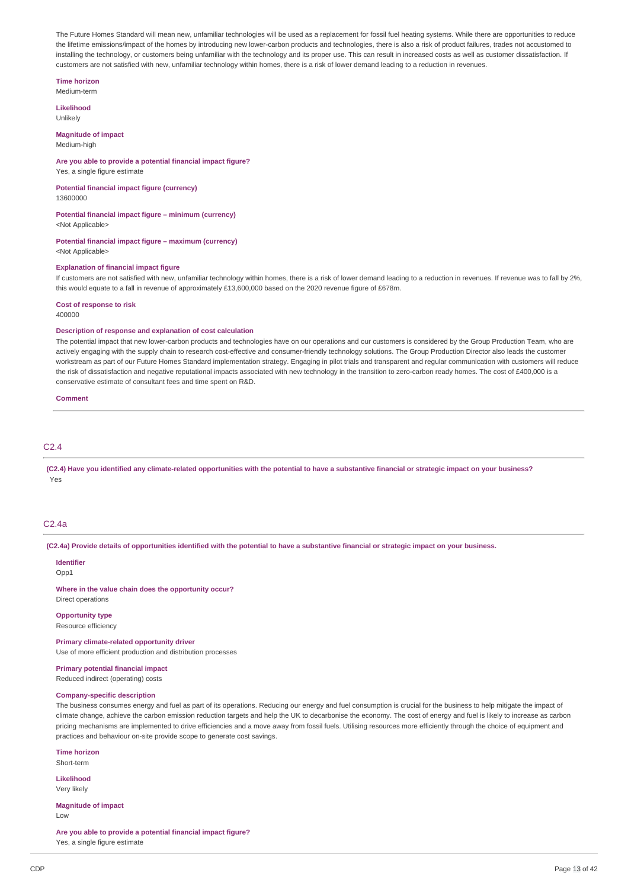The Future Homes Standard will mean new, unfamiliar technologies will be used as a replacement for fossil fuel heating systems. While there are opportunities to reduce the lifetime emissions/impact of the homes by introducing new lower-carbon products and technologies, there is also a risk of product failures, trades not accustomed to installing the technology, or customers being unfamiliar with the technology and its proper use. This can result in increased costs as well as customer dissatisfaction. If customers are not satisfied with new, unfamiliar technology within homes, there is a risk of lower demand leading to a reduction in revenues.

### **Time horizon**

Medium-term

**Likelihood** Unlikely

## **Magnitude of impact**

Medium-high

## **Are you able to provide a potential financial impact figure?**

Yes, a single figure estimate

#### **Potential financial impact figure (currency)** 13600000

#### **Potential financial impact figure – minimum (currency)**

<Not Applicable>

## **Potential financial impact figure – maximum (currency)**

<Not Applicable>

### **Explanation of financial impact figure**

If customers are not satisfied with new, unfamiliar technology within homes, there is a risk of lower demand leading to a reduction in revenues. If revenue was to fall by 2%, this would equate to a fall in revenue of approximately £13,600,000 based on the 2020 revenue figure of £678m.

#### **Cost of response to risk**

400000

#### **Description of response and explanation of cost calculation**

The potential impact that new lower-carbon products and technologies have on our operations and our customers is considered by the Group Production Team, who are actively engaging with the supply chain to research cost-effective and consumer-friendly technology solutions. The Group Production Director also leads the customer workstream as part of our Future Homes Standard implementation strategy. Engaging in pilot trials and transparent and regular communication with customers will reduce the risk of dissatisfaction and negative reputational impacts associated with new technology in the transition to zero-carbon ready homes. The cost of £400,000 is a conservative estimate of consultant fees and time spent on R&D.

#### **Comment**

## C2.4

(C2.4) Have you identified any climate-related opportunities with the potential to have a substantive financial or strategic impact on your business? Yes

## C2.4a

(C2.4a) Provide details of opportunities identified with the potential to have a substantive financial or strategic impact on your business.

**Identifier** Opp1

**Where in the value chain does the opportunity occur?** Direct operations

## **Opportunity type**

Resource efficiency

**Primary climate-related opportunity driver** Use of more efficient production and distribution processes

## **Primary potential financial impact**

Reduced indirect (operating) costs

## **Company-specific description**

The business consumes energy and fuel as part of its operations. Reducing our energy and fuel consumption is crucial for the business to help mitigate the impact of climate change, achieve the carbon emission reduction targets and help the UK to decarbonise the economy. The cost of energy and fuel is likely to increase as carbon pricing mechanisms are implemented to drive efficiencies and a move away from fossil fuels. Utilising resources more efficiently through the choice of equipment and practices and behaviour on-site provide scope to generate cost savings.

#### **Time horizon**

Short-term

**Likelihood** Very likely

**Magnitude of impact** Low

**Are you able to provide a potential financial impact figure?** Yes, a single figure estimate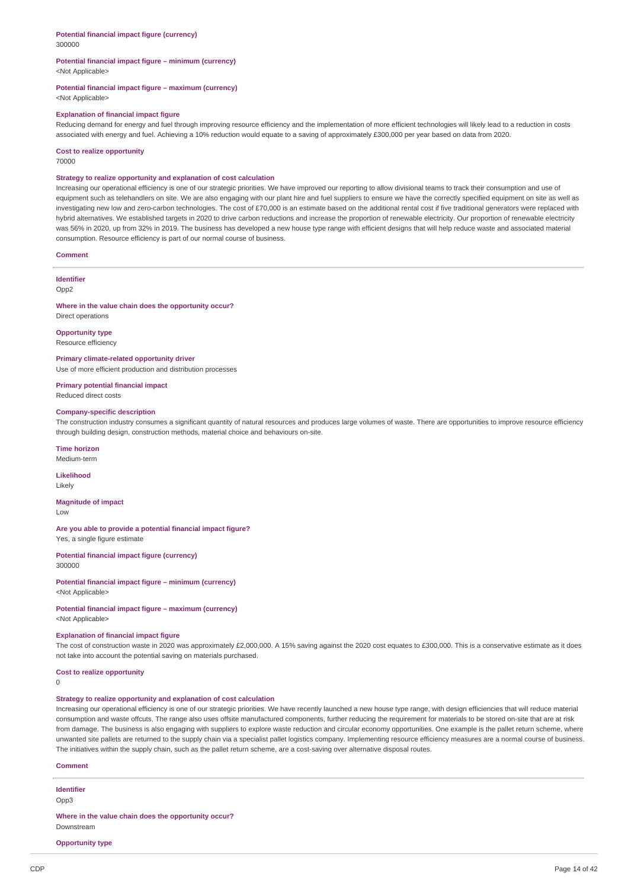#### **Potential financial impact figure (currency)** 300000

#### **Potential financial impact figure – minimum (currency)** <Not Applicable>

## **Potential financial impact figure – maximum (currency)**

<Not Applicable>

#### **Explanation of financial impact figure**

Reducing demand for energy and fuel through improving resource efficiency and the implementation of more efficient technologies will likely lead to a reduction in costs associated with energy and fuel. Achieving a 10% reduction would equate to a saving of approximately £300,000 per year based on data from 2020.

## **Cost to realize opportunity**

70000

### **Strategy to realize opportunity and explanation of cost calculation**

Increasing our operational efficiency is one of our strategic priorities. We have improved our reporting to allow divisional teams to track their consumption and use of equipment such as telehandlers on site. We are also engaging with our plant hire and fuel suppliers to ensure we have the correctly specified equipment on site as well as investigating new low and zero-carbon technologies. The cost of £70,000 is an estimate based on the additional rental cost if five traditional generators were replaced with hybrid alternatives. We established targets in 2020 to drive carbon reductions and increase the proportion of renewable electricity. Our proportion of renewable electricity was 56% in 2020, up from 32% in 2019. The business has developed a new house type range with efficient designs that will help reduce waste and associated material consumption. Resource efficiency is part of our normal course of business.

**Comment**

**Identifier**

Opp2

### **Where in the value chain does the opportunity occur?** Direct operations

### **Opportunity type** Resource efficiency

**Primary climate-related opportunity driver** Use of more efficient production and distribution processes

**Primary potential financial impact** Reduced direct costs

### **Company-specific description**

The construction industry consumes a significant quantity of natural resources and produces large volumes of waste. There are opportunities to improve resource efficiency through building design, construction methods, material choice and behaviours on-site.

### **Time horizon**

Medium-term

#### **Likelihood**

Likely

**Magnitude of impact** Low

### **Are you able to provide a potential financial impact figure?**

Yes, a single figure estimate

**Potential financial impact figure (currency)** 300000

**Potential financial impact figure – minimum (currency)** <Not Applicable>

# **Potential financial impact figure – maximum (currency)**

<Not Applicable>

#### **Explanation of financial impact figure**

The cost of construction waste in 2020 was approximately £2,000,000. A 15% saving against the 2020 cost equates to £300,000. This is a conservative estimate as it does not take into account the potential saving on materials purchased.

#### **Cost to realize opportunity**

 $\Omega$ 

## **Strategy to realize opportunity and explanation of cost calculation**

Increasing our operational efficiency is one of our strategic priorities. We have recently launched a new house type range, with design efficiencies that will reduce material consumption and waste offcuts. The range also uses offsite manufactured components, further reducing the requirement for materials to be stored on-site that are at risk from damage. The business is also engaging with suppliers to explore waste reduction and circular economy opportunities. One example is the pallet return scheme, where unwanted site pallets are returned to the supply chain via a specialist pallet logistics company. Implementing resource efficiency measures are a normal course of business. The initiatives within the supply chain, such as the pallet return scheme, are a cost-saving over alternative disposal routes.

#### **Comment**

**Identifier**

Opp3

**Where in the value chain does the opportunity occur?** Downstream

#### **Opportunity type**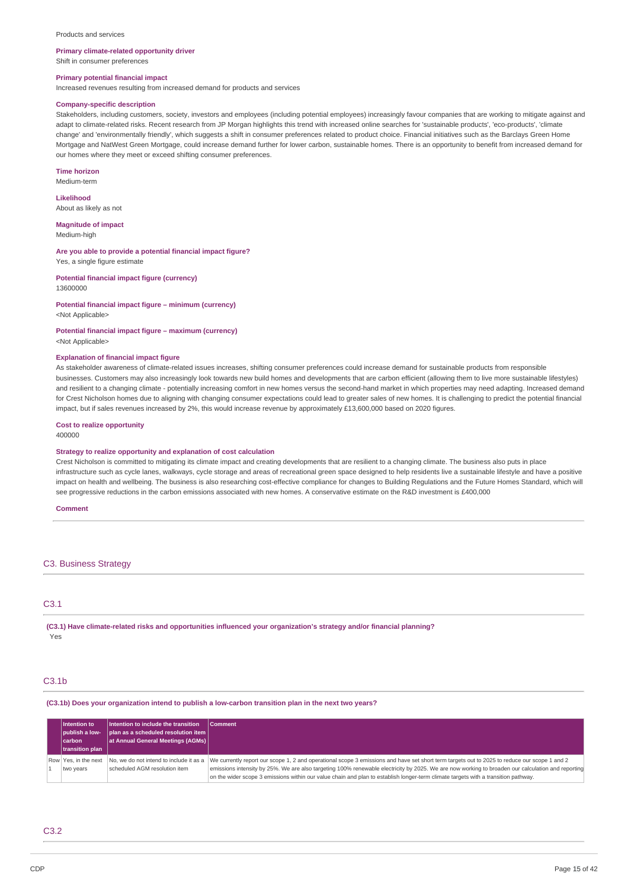#### Products and services

#### **Primary climate-related opportunity driver**

Shift in consumer preferences

### **Primary potential financial impact**

Increased revenues resulting from increased demand for products and services

### **Company-specific description**

Stakeholders, including customers, society, investors and employees (including potential employees) increasingly favour companies that are working to mitigate against and adapt to climate-related risks. Recent research from JP Morgan highlights this trend with increased online searches for 'sustainable products', 'eco-products', 'climate change' and 'environmentally friendly', which suggests a shift in consumer preferences related to product choice. Financial initiatives such as the Barclays Green Home Mortgage and NatWest Green Mortgage, could increase demand further for lower carbon, sustainable homes. There is an opportunity to benefit from increased demand for our homes where they meet or exceed shifting consumer preferences.

**Time horizon** Medium-term

**Likelihood** About as likely as not

**Magnitude of impact** Medium-high

**Are you able to provide a potential financial impact figure?** Yes, a single figure estimate

**Potential financial impact figure (currency)** 13600000

**Potential financial impact figure – minimum (currency)** <Not Applicable>

**Potential financial impact figure – maximum (currency)** <Not Applicable>

#### **Explanation of financial impact figure**

As stakeholder awareness of climate-related issues increases, shifting consumer preferences could increase demand for sustainable products from responsible businesses. Customers may also increasingly look towards new build homes and developments that are carbon efficient (allowing them to live more sustainable lifestyles) and resilient to a changing climate - potentially increasing comfort in new homes versus the second-hand market in which properties may need adapting. Increased demand for Crest Nicholson homes due to aligning with changing consumer expectations could lead to greater sales of new homes. It is challenging to predict the potential financial impact, but if sales revenues increased by 2%, this would increase revenue by approximately £13,600,000 based on 2020 figures.

**Cost to realize opportunity** 400000

#### **Strategy to realize opportunity and explanation of cost calculation**

Crest Nicholson is committed to mitigating its climate impact and creating developments that are resilient to a changing climate. The business also puts in place infrastructure such as cycle lanes, walkways, cycle storage and areas of recreational green space designed to help residents live a sustainable lifestyle and have a positive impact on health and wellbeing. The business is also researching cost-effective compliance for changes to Building Regulations and the Future Homes Standard, which will see progressive reductions in the carbon emissions associated with new homes. A conservative estimate on the R&D investment is £400,000

**Comment**

## C3. Business Strategy

## C3.1

**(C3.1) Have climate-related risks and opportunities influenced your organization's strategy and/or financial planning?** Yes

## $C3.1<sub>b</sub>$

**(C3.1b) Does your organization intend to publish a low-carbon transition plan in the next two years?**

| Intention to         | Intention to include the transition     | <b>Comment</b>                                                                                                                                    |
|----------------------|-----------------------------------------|---------------------------------------------------------------------------------------------------------------------------------------------------|
| l publish a low-     | plan as a scheduled resolution item     |                                                                                                                                                   |
| carbon               | at Annual General Meetings (AGMs)       |                                                                                                                                                   |
| transition plan      |                                         |                                                                                                                                                   |
| Row Yes, in the next | No, we do not intend to include it as a | We currently report our scope 1, 2 and operational scope 3 emissions and have set short term targets out to 2025 to reduce our scope 1 and 2      |
| two years            | scheduled AGM resolution item           | emissions intensity by 25%. We are also targeting 100% renewable electricity by 2025. We are now working to broaden our calculation and reporting |
|                      |                                         | on the wider scope 3 emissions within our value chain and plan to establish longer-term climate targets with a transition pathway.                |

## C3.2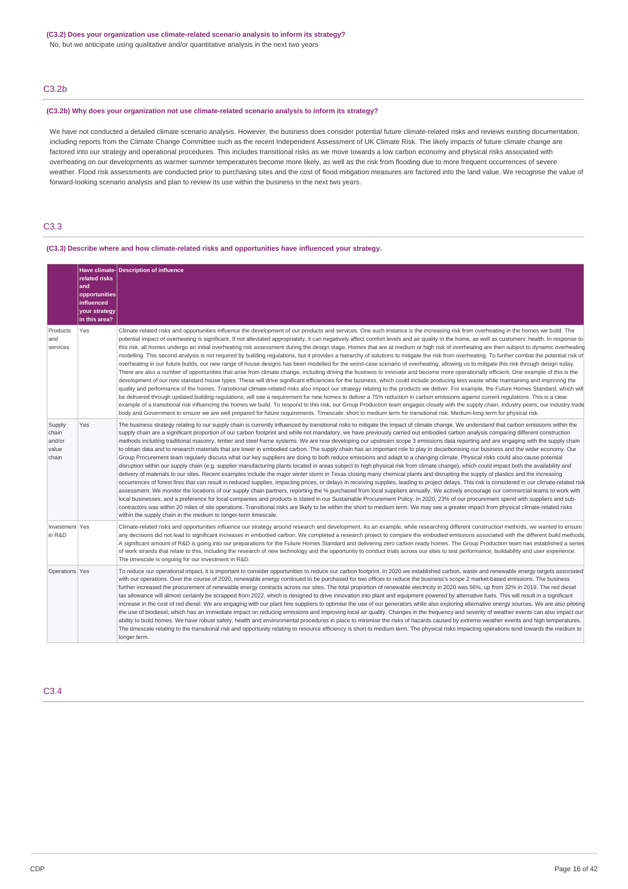No, but we anticipate using qualitative and/or quantitative analysis in the next two years

## C3.2b

### **(C3.2b) Why does your organization not use climate-related scenario analysis to inform its strategy?**

We have not conducted a detailed climate scenario analysis. However, the business does consider potential future climate-related risks and reviews existing documentation, including reports from the Climate Change Committee such as the recent Independent Assessment of UK Climate Risk. The likely impacts of future climate change are factored into our strategy and operational procedures. This includes transitional risks as we move towards a low carbon economy and physical risks associated with overheating on our developments as warmer summer temperatures become more likely, as well as the risk from flooding due to more frequent occurrences of severe weather. Flood risk assessments are conducted prior to purchasing sites and the cost of flood mitigation measures are factored into the land value. We recognise the value of forward-looking scenario analysis and plan to review its use within the business in the next two years.

## C3.3

## **(C3.3) Describe where and how climate-related risks and opportunities have influenced your strategy.**

|                                             | related risks<br>land<br>opportunities<br>influenced<br>your strategy<br>in this area? | Have climate- Description of influence                                                                                                                                                                                                                                                                                                                                                                                                                                                                                                                                                                                                                                                                                                                                                                                                                                                                                                                                                                                                                                                                                                                                                                                                                                                                                                                                                                                                                                                                                                                                                                                                                                                                                                                                                                                                                                                                                                                                                                                                                                                                                                                                           |
|---------------------------------------------|----------------------------------------------------------------------------------------|----------------------------------------------------------------------------------------------------------------------------------------------------------------------------------------------------------------------------------------------------------------------------------------------------------------------------------------------------------------------------------------------------------------------------------------------------------------------------------------------------------------------------------------------------------------------------------------------------------------------------------------------------------------------------------------------------------------------------------------------------------------------------------------------------------------------------------------------------------------------------------------------------------------------------------------------------------------------------------------------------------------------------------------------------------------------------------------------------------------------------------------------------------------------------------------------------------------------------------------------------------------------------------------------------------------------------------------------------------------------------------------------------------------------------------------------------------------------------------------------------------------------------------------------------------------------------------------------------------------------------------------------------------------------------------------------------------------------------------------------------------------------------------------------------------------------------------------------------------------------------------------------------------------------------------------------------------------------------------------------------------------------------------------------------------------------------------------------------------------------------------------------------------------------------------|
| Products<br>and<br>services                 | Yes                                                                                    | Climate-related risks and opportunities influence the development of our products and services. One such instance is the increasing risk from overheating in the homes we build. The<br>potential impact of overheating is significant. If not alleviated appropriately, it can negatively affect comfort levels and air quality in the home, as well as customers' health. In response to<br>this risk, all homes undergo an initial overheating risk assessment during the design stage. Homes that are at medium or high risk of overheating are then subject to dynamic overheating<br>modelling. This second analysis is not required by building regulations, but it provides a hierarchy of solutions to mitigate the risk from overheating. To further combat the potential risk of<br>overheating in our future builds, our new range of house designs has been modelled for the worst-case scenario of overheating, allowing us to mitigate this risk through design today.<br>There are also a number of opportunities that arise from climate change, including driving the business to innovate and become more operationally efficient. One example of this is the<br>development of our new standard house types. These will drive significant efficiencies for the business, which could include producing less waste while maintaining and improving the<br>quality and performance of the homes. Transitional climate-related risks also impact our strategy relating to the products we deliver. For example, the Future Homes Standard, which will<br>be delivered through updated building regulations, will see a requirement for new homes to deliver a 75% reduction in carbon emissions against current regulations. This is a clear<br>example of a transitional risk influencing the homes we build. To respond to this risk, our Group Production team engages closely with the supply chain, industry peers, our industry trade<br>body and Government to ensure we are well prepared for future requirements. Timescale: short to medium term for transitional risk. Medium-long term for physical risk.                                           |
| Supply<br>chain<br>and/or<br>value<br>chain | Yes                                                                                    | The business strategy relating to our supply chain is currently influenced by transitional risks to mitigate the impact of climate change. We understand that carbon emissions within the<br>supply chain are a significant proportion of our carbon footprint and while not mandatory, we have previously carried out embodied carbon analysis comparing different construction<br>methods including traditional masonry, timber and steel frame systems. We are now developing our upstream scope 3 emissions data reporting and are engaging with the supply chain<br>to obtain data and to research materials that are lower in embodied carbon. The supply chain has an important role to play in decarbonising our business and the wider economy. Our<br>Group Procurement team regularly discuss what our key suppliers are doing to both reduce emissions and adapt to a changing climate. Physical risks could also cause potential<br>disruption within our supply chain (e.g. supplier manufacturing plants located in areas subject to high physical risk from climate change), which could impact both the availability and<br>delivery of materials to our sites. Recent examples include the major winter storm in Texas closing many chemical plants and disrupting the supply of plastics and the increasing<br>occurrences of forest fires that can result in reduced supplies, impacting prices, or delays in receiving supplies, leading to project delays. This risk is considered in our climate-related risk<br>assessment. We monitor the locations of our supply chain partners, reporting the % purchased from local suppliers annually. We actively encourage our commercial teams to work with<br>local businesses, and a preference for local companies and products is stated in our Sustainable Procurement Policy. In 2020, 23% of our procurement spend with suppliers and sub-<br>contractors was within 20 miles of site operations. Transitional risks are likely to be within the short to medium term. We may see a greater impact from physical climate-related risks<br>within the supply chain in the medium to longer-term timescale. |
| Investment Yes<br>in R&D                    |                                                                                        | Climate-related risks and opportunities influence our strategy around research and development. As an example, while researching different construction methods, we wanted to ensure<br>any decisions did not lead to significant increases in embodied carbon. We completed a research project to compare the embodied emissions associated with the different build methods<br>A significant amount of R&D is going into our preparations for the Future Homes Standard and delivering zero carbon ready homes. The Group Production team has established a series<br>of work strands that relate to this, including the research of new technology and the opportunity to conduct trials across our sites to test performance, buildability and user experience.<br>The timescale is ongoing for our investment in R&D.                                                                                                                                                                                                                                                                                                                                                                                                                                                                                                                                                                                                                                                                                                                                                                                                                                                                                                                                                                                                                                                                                                                                                                                                                                                                                                                                                       |
| Operations Yes                              |                                                                                        | To reduce our operational impact, it is important to consider opportunities to reduce our carbon footprint. In 2020 we established carbon, waste and renewable energy targets associated<br>with our operations. Over the course of 2020, renewable energy continued to be purchased for two offices to reduce the business's scope 2 market-based emissions. The business<br>further increased the procurement of renewable energy contracts across our sites. The total proportion of renewable electricity in 2020 was 56%, up from 32% in 2019. The red diesel<br>tax allowance will almost certainly be scrapped from 2022, which is designed to drive innovation into plant and equipment powered by alternative fuels. This will result in a significant<br>increase in the cost of red diesel. We are engaging with our plant hire suppliers to optimise the use of our generators while also exploring alternative energy sources. We are also piloting<br>the use of biodiesel, which has an immediate impact on reducing emissions and improving local air quality. Changes in the frequency and severity of weather events can also impact our<br>ability to build homes. We have robust safety, health and environmental procedures in place to minimise the risks of hazards caused by extreme weather events and high temperatures.<br>The timescale relating to the transitional risk and opportunity relating to resource efficiency is short to medium term. The physical risks impacting operations tend towards the medium to<br>longer term.                                                                                                                                                                                                                                                                                                                                                                                                                                                                                                                                                                                                                |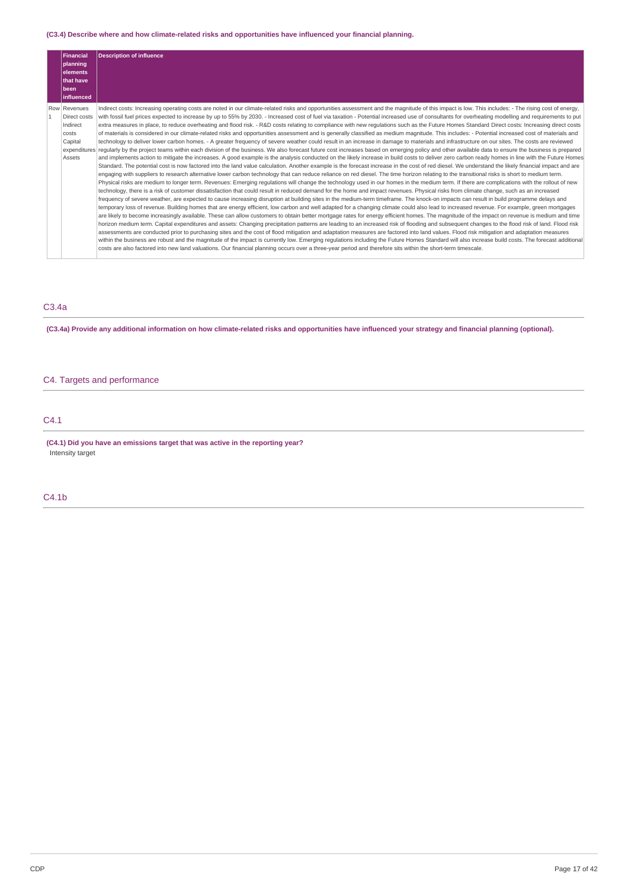## **(C3.4) Describe where and how climate-related risks and opportunities have influenced your financial planning.**

|   | Financial<br>planning<br><b>elements</b><br>that have<br>  been<br><b>linfluenced</b> | <b>Description of influence</b>                                                                                                                                                                                                                                                                                                                                                                                                                                                                                                                                                                                                                                                                                                                                                                                                                                                                                                                                                                                                                                                                                                                                                                                                                                                                                                                                                                                                                                                                                                                                                                                                                                                                                                                                                                                                                                                                                                                                                                                                                                                                                                                                                                                                                                                                                                                                                                                                                                                                                                                                                                                                                                                                                                                                                                                                                                                                                                                                                                                                                                                                                                                                                                                                                                                                                                                                                                                                                                                                                                                                                                     |
|---|---------------------------------------------------------------------------------------|-----------------------------------------------------------------------------------------------------------------------------------------------------------------------------------------------------------------------------------------------------------------------------------------------------------------------------------------------------------------------------------------------------------------------------------------------------------------------------------------------------------------------------------------------------------------------------------------------------------------------------------------------------------------------------------------------------------------------------------------------------------------------------------------------------------------------------------------------------------------------------------------------------------------------------------------------------------------------------------------------------------------------------------------------------------------------------------------------------------------------------------------------------------------------------------------------------------------------------------------------------------------------------------------------------------------------------------------------------------------------------------------------------------------------------------------------------------------------------------------------------------------------------------------------------------------------------------------------------------------------------------------------------------------------------------------------------------------------------------------------------------------------------------------------------------------------------------------------------------------------------------------------------------------------------------------------------------------------------------------------------------------------------------------------------------------------------------------------------------------------------------------------------------------------------------------------------------------------------------------------------------------------------------------------------------------------------------------------------------------------------------------------------------------------------------------------------------------------------------------------------------------------------------------------------------------------------------------------------------------------------------------------------------------------------------------------------------------------------------------------------------------------------------------------------------------------------------------------------------------------------------------------------------------------------------------------------------------------------------------------------------------------------------------------------------------------------------------------------------------------------------------------------------------------------------------------------------------------------------------------------------------------------------------------------------------------------------------------------------------------------------------------------------------------------------------------------------------------------------------------------------------------------------------------------------------------------------------------------|
| 1 | Row Revenues<br>Direct costs<br>Indirect<br>costs<br>Capital<br>Assets                | Indirect costs: Increasing operating costs are noted in our climate-related risks and opportunities assessment and the magnitude of this impact is low. This includes: - The rising cost of energy,<br>with fossil fuel prices expected to increase by up to 55% by 2030. - Increased cost of fuel via taxation - Potential increased use of consultants for overheating modelling and requirements to put<br>extra measures in place, to reduce overheating and flood risk. - R&D costs relating to compliance with new regulations such as the Future Homes Standard Direct costs: Increasing direct costs<br>of materials is considered in our climate-related risks and opportunities assessment and is generally classified as medium magnitude. This includes: - Potential increased cost of materials and<br>technology to deliver lower carbon homes. - A greater frequency of severe weather could result in an increase in damage to materials and infrastructure on our sites. The costs are reviewed<br>expenditures regularly by the project teams within each division of the business. We also forecast future cost increases based on emerging policy and other available data to ensure the business is prepared<br>and implements action to mitigate the increases. A good example is the analysis conducted on the likely increase in build costs to deliver zero carbon ready homes in line with the Future Homes<br>Standard. The potential cost is now factored into the land value calculation. Another example is the forecast increase in the cost of red diesel. We understand the likely financial impact and are<br>engaging with suppliers to research alternative lower carbon technology that can reduce reliance on red diesel. The time horizon relating to the transitional risks is short to medium term.<br>Physical risks are medium to longer term. Revenues: Emerging regulations will change the technology used in our homes in the medium term. If there are complications with the rollout of new<br>technology, there is a risk of customer dissatisfaction that could result in reduced demand for the home and impact revenues. Physical risks from climate change, such as an increased<br>frequency of severe weather, are expected to cause increasing disruption at building sites in the medium-term timeframe. The knock-on impacts can result in build programme delays and<br>temporary loss of revenue. Building homes that are energy efficient, low carbon and well adapted for a changing climate could also lead to increased revenue. For example, green mortgages<br>are likely to become increasingly available. These can allow customers to obtain better mortgage rates for energy efficient homes. The magnitude of the impact on revenue is medium and time<br>horizon medium term. Capital expenditures and assets: Changing precipitation patterns are leading to an increased risk of flooding and subsequent changes to the flood risk of land. Flood risk<br>assessments are conducted prior to purchasing sites and the cost of flood mitigation and adaptation measures are factored into land values. Flood risk mitigation and adaptation measures<br>within the business are robust and the magnitude of the impact is currently low. Emerging regulations including the Future Homes Standard will also increase build costs. The forecast additional<br>costs are also factored into new land valuations. Our financial planning occurs over a three-year period and therefore sits within the short-term timescale. |

## C3.4a

(C3.4a) Provide any additional information on how climate-related risks and opportunities have influenced your strategy and financial planning (optional).

## C4. Targets and performance

## C4.1

**(C4.1) Did you have an emissions target that was active in the reporting year?** Intensity target

## C4.1b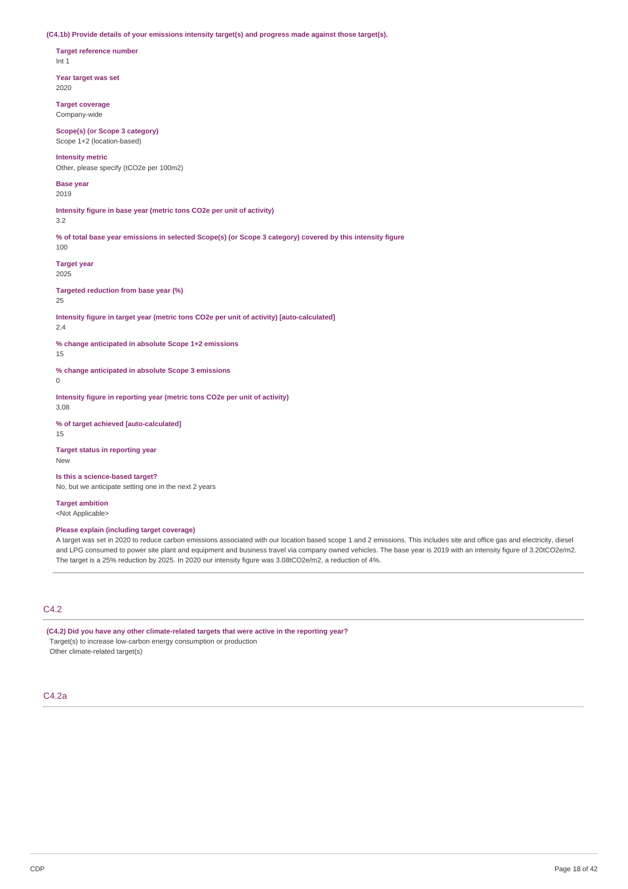**(C4.1b) Provide details of your emissions intensity target(s) and progress made against those target(s).**

**Target reference number** Int 1

**Year target was set** 2020

**Target coverage** Company-wide

**Scope(s) (or Scope 3 category)** Scope 1+2 (location-based)

**Intensity metric** Other, please specify (tCO2e per 100m2)

**Base year** 2019

**Intensity figure in base year (metric tons CO2e per unit of activity)**

3.2

% of total base year emissions in selected Scope(s) (or Scope 3 category) covered by this intensity figure 100

**Target year** 2025

**Targeted reduction from base year (%)**

 $25$ 

**Intensity figure in target year (metric tons CO2e per unit of activity) [auto-calculated]**

2.4

**% change anticipated in absolute Scope 1+2 emissions**

15

**% change anticipated in absolute Scope 3 emissions**

 $\Omega$ 

3.08

**Intensity figure in reporting year (metric tons CO2e per unit of activity)**

**% of target achieved [auto-calculated]** 15

**Target status in reporting year** New

**Is this a science-based target?** No, but we anticipate setting one in the next 2 years

**Target ambition** <Not Applicable>

**Please explain (including target coverage)**

A target was set in 2020 to reduce carbon emissions associated with our location based scope 1 and 2 emissions. This includes site and office gas and electricity, diesel and LPG consumed to power site plant and equipment and business travel via company owned vehicles. The base year is 2019 with an intensity figure of 3.20tCO2e/m2. The target is a 25% reduction by 2025. In 2020 our intensity figure was 3.08tCO2e/m2, a reduction of 4%.

C4.2

**(C4.2) Did you have any other climate-related targets that were active in the reporting year?** Target(s) to increase low-carbon energy consumption or production

Other climate-related target(s)

C4.2a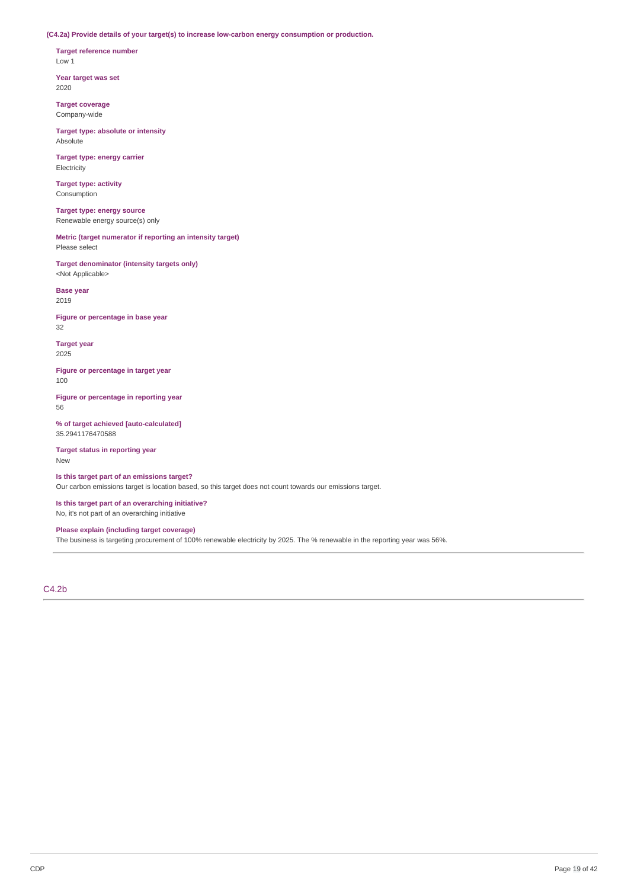**(C4.2a) Provide details of your target(s) to increase low-carbon energy consumption or production.**

**Target reference number** Low 1

**Year target was set** 2020

**Target coverage** Company-wide

**Target type: absolute or intensity** Absolute

**Target type: energy carrier** Electricity

**Target type: activity** Consumption

**Target type: energy source** Renewable energy source(s) only

**Metric (target numerator if reporting an intensity target)** Please select

**Target denominator (intensity targets only)** <Not Applicable>

**Base year** 2019

**Figure or percentage in base year** 32

**Target year** 2025

**Figure or percentage in target year** 100

**Figure or percentage in reporting year** 56

**% of target achieved [auto-calculated]** 35.2941176470588

**Target status in reporting year** New

**Is this target part of an emissions target?** Our carbon emissions target is location based, so this target does not count towards our emissions target.

**Is this target part of an overarching initiative?** No, it's not part of an overarching initiative

**Please explain (including target coverage)**

The business is targeting procurement of 100% renewable electricity by 2025. The % renewable in the reporting year was 56%.

C4.2b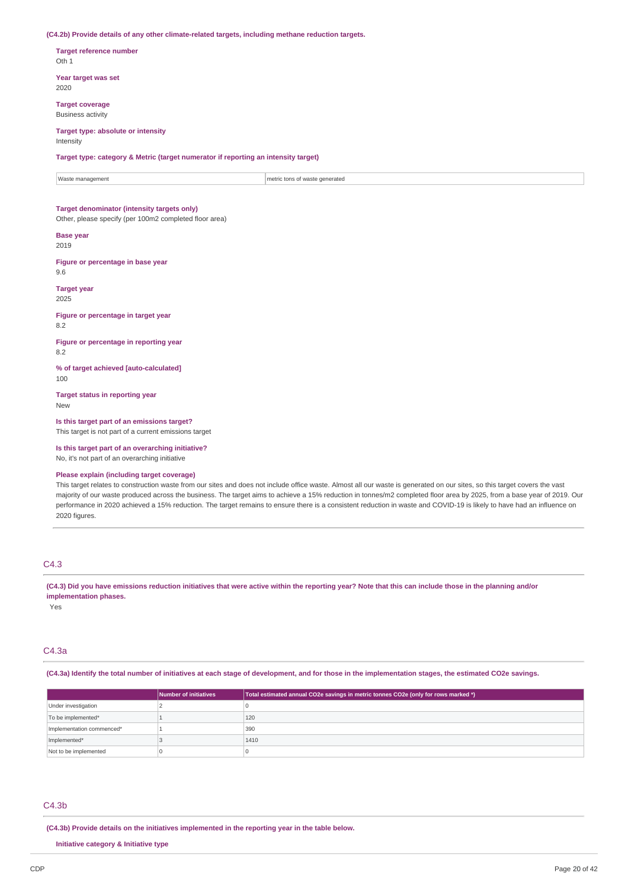#### **(C4.2b) Provide details of any other climate-related targets, including methane reduction targets.**

**Target reference number** Oth 1

**Year target was set** 2020

**Target coverage** Business activity

#### **Target type: absolute or intensity** Intensity

**Target type: category & Metric (target numerator if reporting an intensity target)**

Waste management metric tons of waste generated

## **Target denominator (intensity targets only)**

### Other, please specify (per 100m2 completed floor area)

**Base year**

2019

**Figure or percentage in base year** 9.6

**Target year**

2025

## **Figure or percentage in target year**

8.2

**Figure or percentage in reporting year** 8.2

**% of target achieved [auto-calculated]** 100

**Target status in reporting year** New

### **Is this target part of an emissions target?**

This target is not part of a current emissions target

**Is this target part of an overarching initiative?** No, it's not part of an overarching initiative

### **Please explain (including target coverage)**

This target relates to construction waste from our sites and does not include office waste. Almost all our waste is generated on our sites, so this target covers the vast majority of our waste produced across the business. The target aims to achieve a 15% reduction in tonnes/m2 completed floor area by 2025, from a base year of 2019. Our performance in 2020 achieved a 15% reduction. The target remains to ensure there is a consistent reduction in waste and COVID-19 is likely to have had an influence on 2020 figures.

## C4.3

### (C4.3) Did you have emissions reduction initiatives that were active within the reporting year? Note that this can include those in the planning and/or **implementation phases.**

Yes

## C4.3a

(C4.3a) Identify the total number of initiatives at each stage of development, and for those in the implementation stages, the estimated CO2e savings.

|                           | Number of initiatives | Total estimated annual CO2e savings in metric tonnes CO2e (only for rows marked *) |
|---------------------------|-----------------------|------------------------------------------------------------------------------------|
| Under investigation       |                       |                                                                                    |
| To be implemented*        |                       | 120                                                                                |
| Implementation commenced* |                       | 390                                                                                |
| Implemented*              |                       | 1410                                                                               |
| Not to be implemented     |                       |                                                                                    |

## C4.3b

**(C4.3b) Provide details on the initiatives implemented in the reporting year in the table below.**

**Initiative category & Initiative type**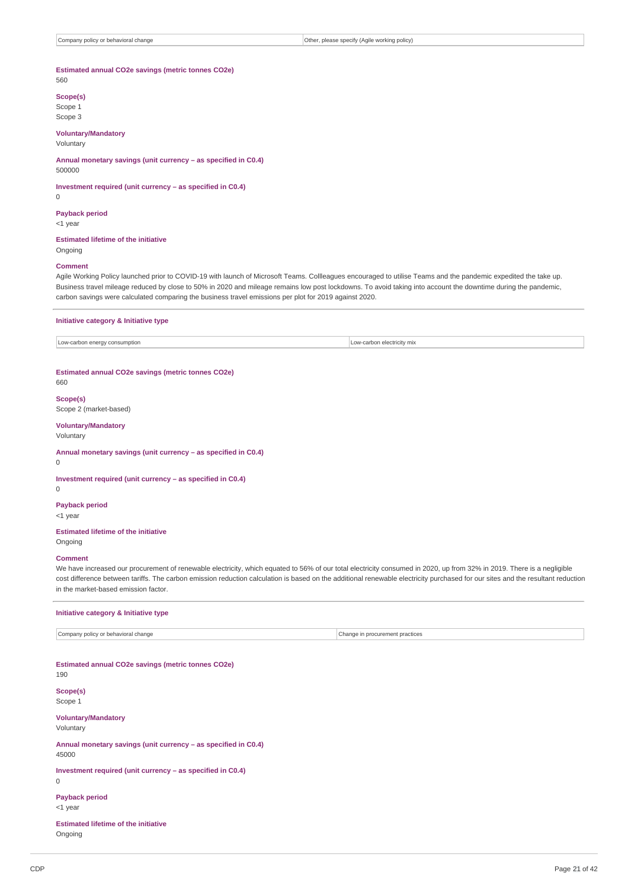Company policy or behavioral change Other, please specify (Agile working policy)

#### **Estimated annual CO2e savings (metric tonnes CO2e)** 560

**Scope(s)**

Scope 1 Scope 3

## **Voluntary/Mandatory**

## Voluntary

**Annual monetary savings (unit currency – as specified in C0.4)** 500000

### **Investment required (unit currency – as specified in C0.4)**

 $\Omega$ 

## **Payback period**

<1 year

# **Estimated lifetime of the initiative**

Ongoing

### **Comment**

Agile Working Policy launched prior to COVID-19 with launch of Microsoft Teams. Collleagues encouraged to utilise Teams and the pandemic expedited the take up. Business travel mileage reduced by close to 50% in 2020 and mileage remains low post lockdowns. To avoid taking into account the downtime during the pandemic, carbon savings were calculated comparing the business travel emissions per plot for 2019 against 2020.

### **Initiative category & Initiative type**

Low-carbon energy consumption **Low-carbon electricity** mix

### **Estimated annual CO2e savings (metric tonnes CO2e)**

**Scope(s)**

Scope 2 (market-based)

## **Voluntary/Mandatory**

Voluntary

660

#### **Annual monetary savings (unit currency – as specified in C0.4)**  $\theta$

## **Investment required (unit currency – as specified in C0.4)**

0

#### **Payback period** <1 year

**Estimated lifetime of the initiative** Ongoing

### **Comment**

We have increased our procurement of renewable electricity, which equated to 56% of our total electricity consumed in 2020, up from 32% in 2019. There is a negligible cost difference between tariffs. The carbon emission reduction calculation is based on the additional renewable electricity purchased for our sites and the resultant reduction in the market-based emission factor.

# **Initiative category & Initiative type** Company policy or behavioral change Change in procurement practices **Estimated annual CO2e savings (metric tonnes CO2e)** 190 **Scope(s)** Scope 1 **Voluntary/Mandatory** Voluntary **Annual monetary savings (unit currency – as specified in C0.4)** 45000 **Investment required (unit currency – as specified in C0.4)**  $\theta$ **Payback period** <1 year **Estimated lifetime of the initiative** Ongoing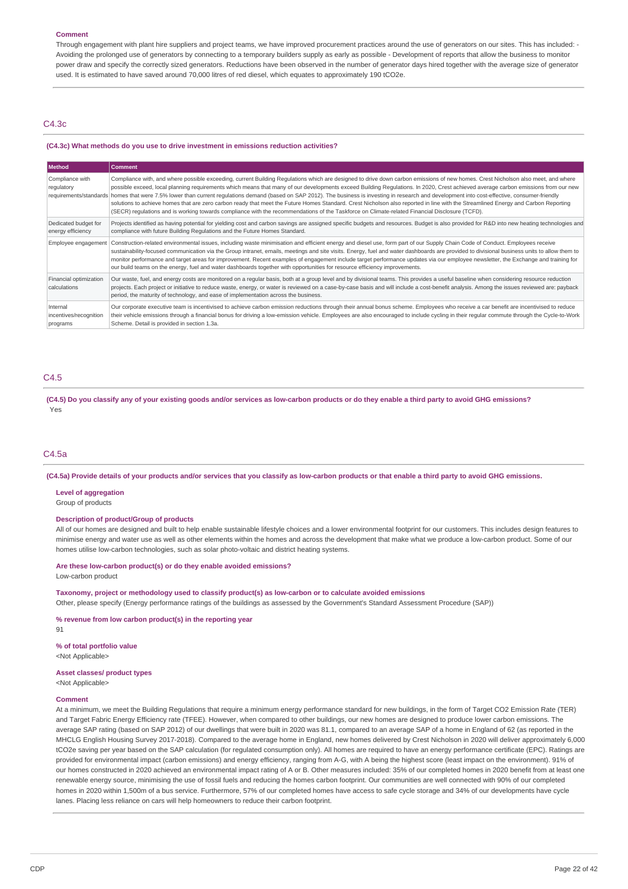#### **Comment**

Through engagement with plant hire suppliers and project teams, we have improved procurement practices around the use of generators on our sites. This has included: -Avoiding the prolonged use of generators by connecting to a temporary builders supply as early as possible - Development of reports that allow the business to monitor power draw and specify the correctly sized generators. Reductions have been observed in the number of generator days hired together with the average size of generator used. It is estimated to have saved around 70,000 litres of red diesel, which equates to approximately 190 tCO2e.

## C4.3c

#### **(C4.3c) What methods do you use to drive investment in emissions reduction activities?**

| <b>Method</b>                                  | <b>Comment</b>                                                                                                                                                                                                                                                                                                                                                                                                                                                                                                                                                                                                                                                                                                                                                                                                                                                                                                      |
|------------------------------------------------|---------------------------------------------------------------------------------------------------------------------------------------------------------------------------------------------------------------------------------------------------------------------------------------------------------------------------------------------------------------------------------------------------------------------------------------------------------------------------------------------------------------------------------------------------------------------------------------------------------------------------------------------------------------------------------------------------------------------------------------------------------------------------------------------------------------------------------------------------------------------------------------------------------------------|
| Compliance with<br>regulatory                  | Compliance with, and where possible exceeding, current Building Regulations which are designed to drive down carbon emissions of new homes. Crest Nicholson also meet, and where<br>possible exceed, local planning requirements which means that many of our developments exceed Building Requlations. In 2020, Crest achieved average carbon emissions from our new<br>requirements/standards homes that were 7.5% lower than current requlations demand (based on SAP 2012). The business is investing in research and development into cost-effective, consumer-friendly<br>solutions to achieve homes that are zero carbon ready that meet the Future Homes Standard. Crest Nicholson also reported in line with the Streamlined Energy and Carbon Reporting<br>(SECR) requlations and is working towards compliance with the recommendations of the Taskforce on Climate-related Financial Disclosure (TCFD). |
| Dedicated budget for<br>energy efficiency      | Projects identified as having potential for yielding cost and carbon savings are assigned specific budgets and resources. Budget is also provided for R&D into new heating technologies and<br>compliance with future Building Regulations and the Future Homes Standard.                                                                                                                                                                                                                                                                                                                                                                                                                                                                                                                                                                                                                                           |
| Employee engagement                            | Construction-related environmental issues, including waste minimisation and efficient energy and diesel use, form part of our Supply Chain Code of Conduct. Employees receive<br>sustainability-focused communication via the Group intranet, emails, meetings and site visits. Energy, fuel and water dashboards are provided to divisional business units to allow them to<br>monitor performance and target areas for improvement. Recent examples of engagement include target performance updates via our employee newsletter, the Exchange and training for<br>our build teams on the energy, fuel and water dashboards together with opportunities for resource efficiency improvements.                                                                                                                                                                                                                     |
| Financial optimization<br>calculations         | Our waste, fuel, and energy costs are monitored on a regular basis, both at a group level and by divisional teams. This provides a useful baseline when considering resource reduction<br>projects. Each project or initiative to reduce waste, energy, or water is reviewed on a case-by-case basis and will include a cost-benefit analysis. Among the issues reviewed are: payback<br>period, the maturity of technology, and ease of implementation across the business.                                                                                                                                                                                                                                                                                                                                                                                                                                        |
| Internal<br>incentives/recognition<br>programs | Our corporate executive team is incentivised to achieve carbon emission reductions through their annual bonus scheme. Employees who receive a car benefit are incentivised to reduce<br>their vehicle emissions through a financial bonus for driving a low-emission vehicle. Employees are also encouraged to include cycling in their regular commute through the Cycle-to-Work<br>Scheme. Detail is provided in section 1.3a.                                                                                                                                                                                                                                                                                                                                                                                                                                                                                    |

## C4.5

(C4.5) Do you classify any of your existing goods and/or services as low-carbon products or do they enable a third party to avoid GHG emissions? Yes

## C4.5a

(C4.5a) Provide details of your products and/or services that you classify as low-carbon products or that enable a third party to avoid GHG emissions.

#### **Level of aggregation**

Group of products

### **Description of product/Group of products**

All of our homes are designed and built to help enable sustainable lifestyle choices and a lower environmental footprint for our customers. This includes design features to minimise energy and water use as well as other elements within the homes and across the development that make what we produce a low-carbon product. Some of our homes utilise low-carbon technologies, such as solar photo-voltaic and district heating systems.

### **Are these low-carbon product(s) or do they enable avoided emissions?**

Low-carbon product

**Taxonomy, project or methodology used to classify product(s) as low-carbon or to calculate avoided emissions** Other, please specify (Energy performance ratings of the buildings as assessed by the Government's Standard Assessment Procedure (SAP))

**% revenue from low carbon product(s) in the reporting year** 91

**% of total portfolio value**

<Not Applicable>

### **Asset classes/ product types**

<Not Applicable>

### **Comment**

At a minimum, we meet the Building Regulations that require a minimum energy performance standard for new buildings, in the form of Target CO2 Emission Rate (TER) and Target Fabric Energy Efficiency rate (TFEE). However, when compared to other buildings, our new homes are designed to produce lower carbon emissions. The average SAP rating (based on SAP 2012) of our dwellings that were built in 2020 was 81.1, compared to an average SAP of a home in England of 62 (as reported in the MHCLG English Housing Survey 2017-2018). Compared to the average home in England, new homes delivered by Crest Nicholson in 2020 will deliver approximately 6,000 tCO2e saving per year based on the SAP calculation (for regulated consumption only). All homes are required to have an energy performance certificate (EPC). Ratings are provided for environmental impact (carbon emissions) and energy efficiency, ranging from A-G, with A being the highest score (least impact on the environment). 91% of our homes constructed in 2020 achieved an environmental impact rating of A or B. Other measures included: 35% of our completed homes in 2020 benefit from at least one renewable energy source, minimising the use of fossil fuels and reducing the homes carbon footprint. Our communities are well connected with 90% of our completed homes in 2020 within 1,500m of a bus service. Furthermore, 57% of our completed homes have access to safe cycle storage and 34% of our developments have cycle lanes. Placing less reliance on cars will help homeowners to reduce their carbon footprint.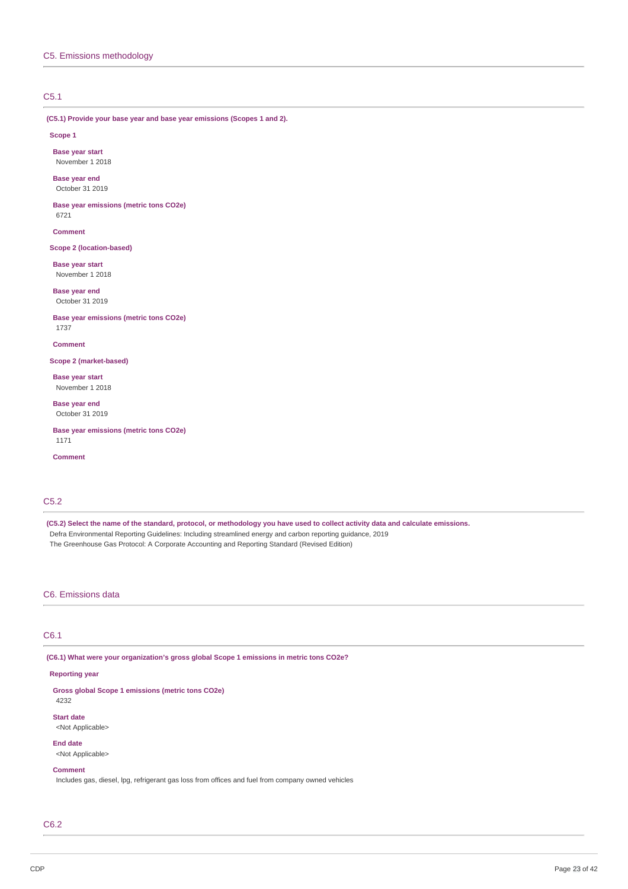## C5.1

**(C5.1) Provide your base year and base year emissions (Scopes 1 and 2).**

#### **Scope 1**

**Base year start** November 1 2018

**Base year end** October 31 2019

**Base year emissions (metric tons CO2e)** 6721

**Comment**

**Scope 2 (location-based)**

**Base year start** November 1 2018

**Base year end** October 31 2019

**Base year emissions (metric tons CO2e)** 1737

**Comment**

**Scope 2 (market-based)**

**Base year start** November 1 2018

**Base year end** October 31 2019

**Base year emissions (metric tons CO2e)** 1171

**Comment**

## C5.2

(C5.2) Select the name of the standard, protocol, or methodology you have used to collect activity data and calculate emissions. Defra Environmental Reporting Guidelines: Including streamlined energy and carbon reporting guidance, 2019 The Greenhouse Gas Protocol: A Corporate Accounting and Reporting Standard (Revised Edition)

C6. Emissions data

## C6.1

**(C6.1) What were your organization's gross global Scope 1 emissions in metric tons CO2e?**

## **Reporting year**

**Gross global Scope 1 emissions (metric tons CO2e)** 4232

**Start date**

<Not Applicable>

**End date** <Not Applicable>

## **Comment**

Includes gas, diesel, lpg, refrigerant gas loss from offices and fuel from company owned vehicles

C6.2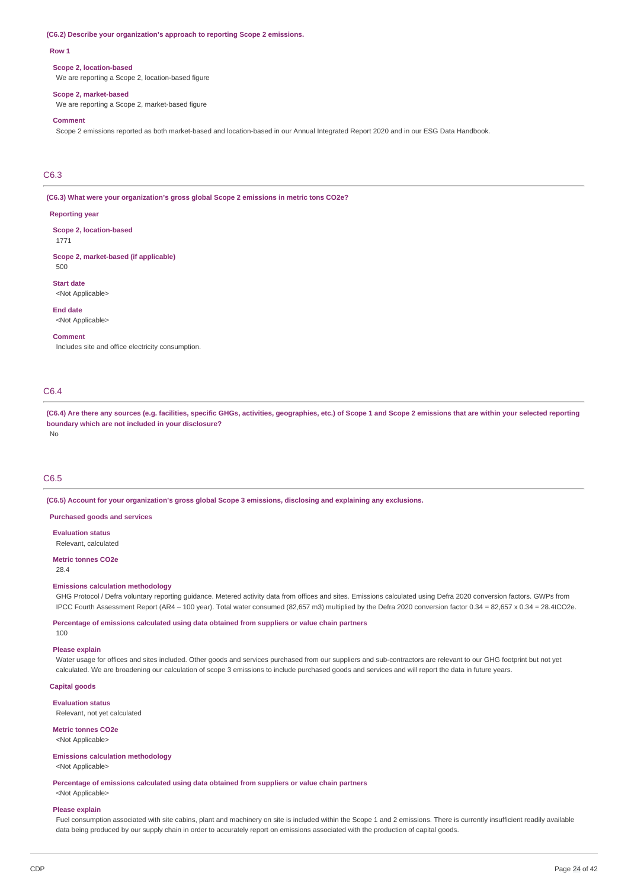#### **(C6.2) Describe your organization's approach to reporting Scope 2 emissions.**

#### **Row 1**

#### **Scope 2, location-based**

We are reporting a Scope 2, location-based figure

#### **Scope 2, market-based**

We are reporting a Scope 2, market-based figure

## **Comment**

Scope 2 emissions reported as both market-based and location-based in our Annual Integrated Report 2020 and in our ESG Data Handbook.

## C6.3

#### **(C6.3) What were your organization's gross global Scope 2 emissions in metric tons CO2e?**

### **Reporting year**

**Scope 2, location-based**

1771

#### **Scope 2, market-based (if applicable)** 500

**Start date**

# <Not Applicable>

**End date** <Not Applicable>

#### **Comment**

Includes site and office electricity consumption.

## C6.4

(C6.4) Are there any sources (e.g. facilities, specific GHGs, activities, geographies, etc.) of Scope 1 and Scope 2 emissions that are within your selected reporting **boundary which are not included in your disclosure?**

## No

## C6.5

**(C6.5) Account for your organization's gross global Scope 3 emissions, disclosing and explaining any exclusions.**

### **Purchased goods and services**

**Evaluation status**

Relevant, calculated

#### **Metric tonnes CO2e** 28.4

## **Emissions calculation methodology**

GHG Protocol / Defra voluntary reporting guidance. Metered activity data from offices and sites. Emissions calculated using Defra 2020 conversion factors. GWPs from IPCC Fourth Assessment Report (AR4 – 100 year). Total water consumed (82,657 m3) multiplied by the Defra 2020 conversion factor 0.34 = 82,657 x 0.34 = 28.4tCO2e.

**Percentage of emissions calculated using data obtained from suppliers or value chain partners**  $100$ 

#### **Please explain**

Water usage for offices and sites included. Other goods and services purchased from our suppliers and sub-contractors are relevant to our GHG footprint but not yet calculated. We are broadening our calculation of scope 3 emissions to include purchased goods and services and will report the data in future years.

### **Capital goods**

### **Evaluation status**

Relevant, not yet calculated

### **Metric tonnes CO2e** <Not Applicable>

## **Emissions calculation methodology**

<Not Applicable>

**Percentage of emissions calculated using data obtained from suppliers or value chain partners**

# <Not Applicable>

## **Please explain**

Fuel consumption associated with site cabins, plant and machinery on site is included within the Scope 1 and 2 emissions. There is currently insufficient readily available data being produced by our supply chain in order to accurately report on emissions associated with the production of capital goods.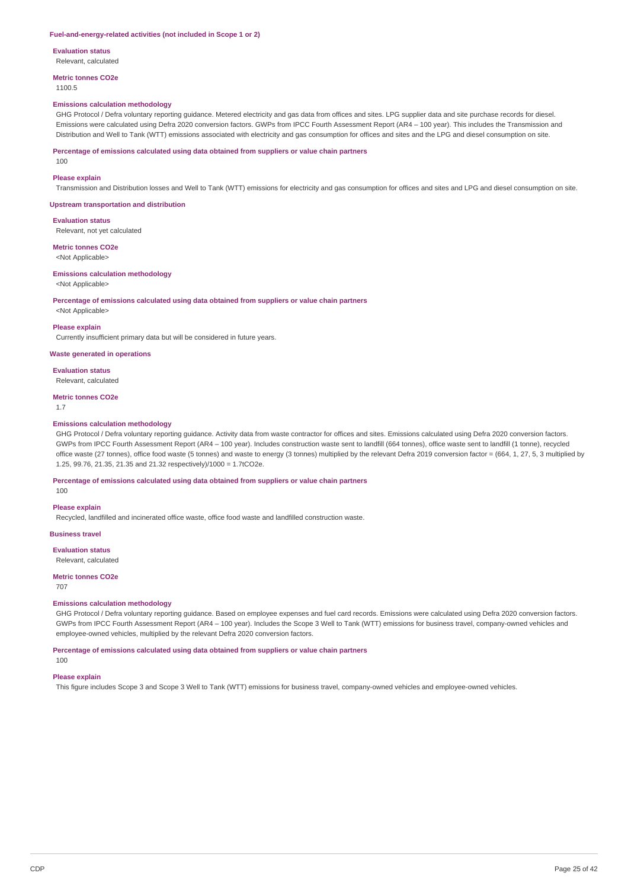#### **Fuel-and-energy-related activities (not included in Scope 1 or 2)**

**Evaluation status** Relevant, calculated

**Metric tonnes CO2e**

1100.5

#### **Emissions calculation methodology**

GHG Protocol / Defra voluntary reporting guidance. Metered electricity and gas data from offices and sites. LPG supplier data and site purchase records for diesel. Emissions were calculated using Defra 2020 conversion factors. GWPs from IPCC Fourth Assessment Report (AR4 – 100 year). This includes the Transmission and Distribution and Well to Tank (WTT) emissions associated with electricity and gas consumption for offices and sites and the LPG and diesel consumption on site.

### **Percentage of emissions calculated using data obtained from suppliers or value chain partners**

## 100 **Please explain**

Transmission and Distribution losses and Well to Tank (WTT) emissions for electricity and gas consumption for offices and sites and LPG and diesel consumption on site.

### **Upstream transportation and distribution**

**Evaluation status** Relevant, not yet calculated

#### **Metric tonnes CO2e**

<Not Applicable>

#### **Emissions calculation methodology**

<Not Applicable>

### **Percentage of emissions calculated using data obtained from suppliers or value chain partners**

<Not Applicable>

#### **Please explain**

Currently insufficient primary data but will be considered in future years.

### **Waste generated in operations**

**Evaluation status**

Relevant, calculated

**Metric tonnes CO2e**

#### 1.7

#### **Emissions calculation methodology**

GHG Protocol / Defra voluntary reporting guidance. Activity data from waste contractor for offices and sites. Emissions calculated using Defra 2020 conversion factors. GWPs from IPCC Fourth Assessment Report (AR4 – 100 year). Includes construction waste sent to landfill (664 tonnes), office waste sent to landfill (1 tonne), recycled office waste (27 tonnes), office food waste (5 tonnes) and waste to energy (3 tonnes) multiplied by the relevant Defra 2019 conversion factor = (664, 1, 27, 5, 3 multiplied by 1.25, 99.76, 21.35, 21.35 and 21.32 respectively)/1000 = 1.7tCO2e.

**Percentage of emissions calculated using data obtained from suppliers or value chain partners**

100

## **Please explain**

Recycled, landfilled and incinerated office waste, office food waste and landfilled construction waste.

#### **Business travel**

**Evaluation status** Relevant, calculated

## **Metric tonnes CO2e**

707

#### **Emissions calculation methodology**

GHG Protocol / Defra voluntary reporting guidance. Based on employee expenses and fuel card records. Emissions were calculated using Defra 2020 conversion factors. GWPs from IPCC Fourth Assessment Report (AR4 – 100 year). Includes the Scope 3 Well to Tank (WTT) emissions for business travel, company-owned vehicles and employee-owned vehicles, multiplied by the relevant Defra 2020 conversion factors.

**Percentage of emissions calculated using data obtained from suppliers or value chain partners**

#### 100

## **Please explain**

This figure includes Scope 3 and Scope 3 Well to Tank (WTT) emissions for business travel, company-owned vehicles and employee-owned vehicles.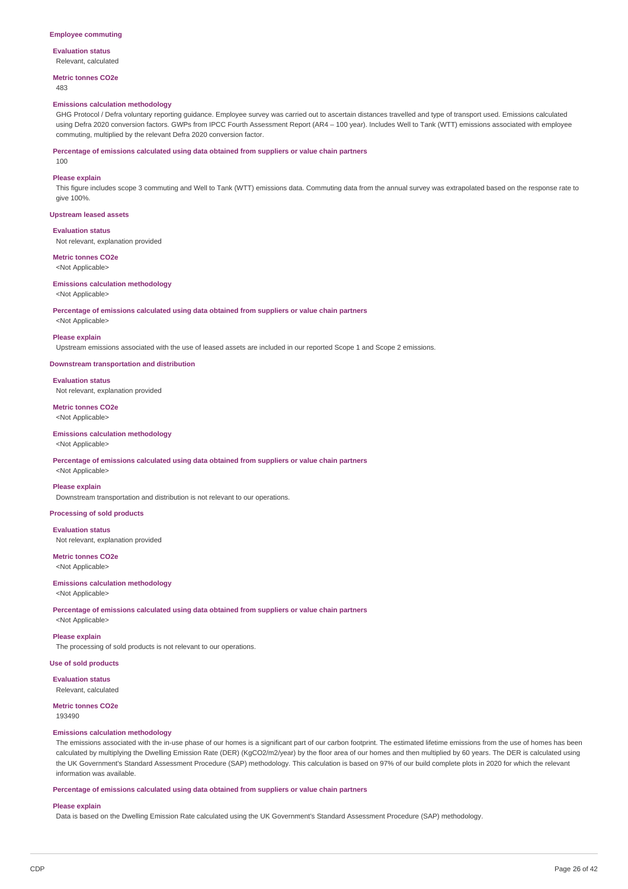#### **Employee commuting**

**Evaluation status** Relevant, calculated

**Metric tonnes CO2e**

483

#### **Emissions calculation methodology**

GHG Protocol / Defra voluntary reporting guidance. Employee survey was carried out to ascertain distances travelled and type of transport used. Emissions calculated using Defra 2020 conversion factors. GWPs from IPCC Fourth Assessment Report (AR4 – 100 year). Includes Well to Tank (WTT) emissions associated with employee commuting, multiplied by the relevant Defra 2020 conversion factor.

#### **Percentage of emissions calculated using data obtained from suppliers or value chain partners**

## 100 **Please explain**

This figure includes scope 3 commuting and Well to Tank (WTT) emissions data. Commuting data from the annual survey was extrapolated based on the response rate to give 100%.

## **Upstream leased assets**

**Evaluation status**

Not relevant, explanation provided

#### **Metric tonnes CO2e** <Not Applicable>

## **Emissions calculation methodology**

<Not Applicable>

### **Percentage of emissions calculated using data obtained from suppliers or value chain partners**

<Not Applicable>

### **Please explain**

Upstream emissions associated with the use of leased assets are included in our reported Scope 1 and Scope 2 emissions.

### **Downstream transportation and distribution**

**Evaluation status** Not relevant, explanation provided

### **Metric tonnes CO2e** <Not Applicable>

**Emissions calculation methodology**

## <Not Applicable>

### **Percentage of emissions calculated using data obtained from suppliers or value chain partners**

<Not Applicable>

#### **Please explain**

Downstream transportation and distribution is not relevant to our operations.

### **Processing of sold products**

**Evaluation status** Not relevant, explanation provided

#### **Metric tonnes CO2e** <Not Applicable>

## **Emissions calculation methodology**

<Not Applicable>

**Percentage of emissions calculated using data obtained from suppliers or value chain partners**

<Not Applicable>

## **Please explain**

The processing of sold products is not relevant to our operations.

## **Use of sold products**

**Evaluation status** Relevant, calculated

# **Metric tonnes CO2e**

193490

## **Emissions calculation methodology**

The emissions associated with the in-use phase of our homes is a significant part of our carbon footprint. The estimated lifetime emissions from the use of homes has been calculated by multiplying the Dwelling Emission Rate (DER) (KgCO2/m2/year) by the floor area of our homes and then multiplied by 60 years. The DER is calculated using the UK Government's Standard Assessment Procedure (SAP) methodology. This calculation is based on 97% of our build complete plots in 2020 for which the relevant information was available.

## **Percentage of emissions calculated using data obtained from suppliers or value chain partners**

### **Please explain**

Data is based on the Dwelling Emission Rate calculated using the UK Government's Standard Assessment Procedure (SAP) methodology.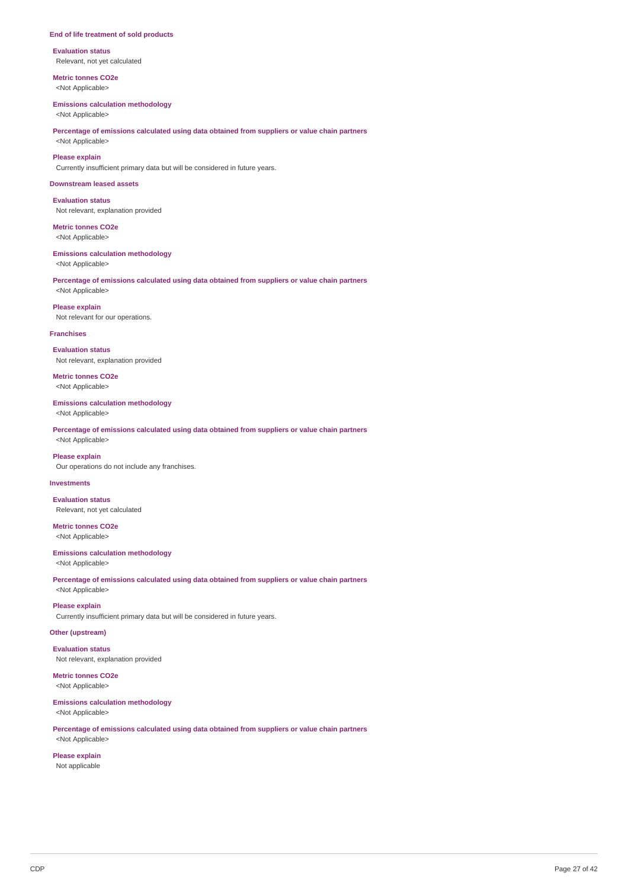#### **End of life treatment of sold products**

**Evaluation status** Relevant, not yet calculated

**Metric tonnes CO2e** <Not Applicable>

#### **Emissions calculation methodology**

<Not Applicable>

### **Percentage of emissions calculated using data obtained from suppliers or value chain partners** <Not Applicable>

**Please explain**

Currently insufficient primary data but will be considered in future years.

### **Downstream leased assets**

**Evaluation status** Not relevant, explanation provided

**Metric tonnes CO2e** <Not Applicable>

## **Emissions calculation methodology**

<Not Applicable>

**Percentage of emissions calculated using data obtained from suppliers or value chain partners** <Not Applicable>

## **Please explain**

Not relevant for our operations.

### **Franchises**

**Evaluation status** Not relevant, explanation provided

**Metric tonnes CO2e** <Not Applicable>

### **Emissions calculation methodology**

<Not Applicable>

**Percentage of emissions calculated using data obtained from suppliers or value chain partners** <Not Applicable>

**Please explain** Our operations do not include any franchises.

## **Investments**

**Evaluation status** Relevant, not yet calculated

**Metric tonnes CO2e** <Not Applicable>

### **Emissions calculation methodology**

<Not Applicable>

**Percentage of emissions calculated using data obtained from suppliers or value chain partners** <Not Applicable>

## **Please explain**

Currently insufficient primary data but will be considered in future years.

## **Other (upstream)**

**Evaluation status** Not relevant, explanation provided

## **Metric tonnes CO2e** <Not Applicable>

**Emissions calculation methodology** <Not Applicable>

**Percentage of emissions calculated using data obtained from suppliers or value chain partners**

# <Not Applicable> **Please explain**

Not applicable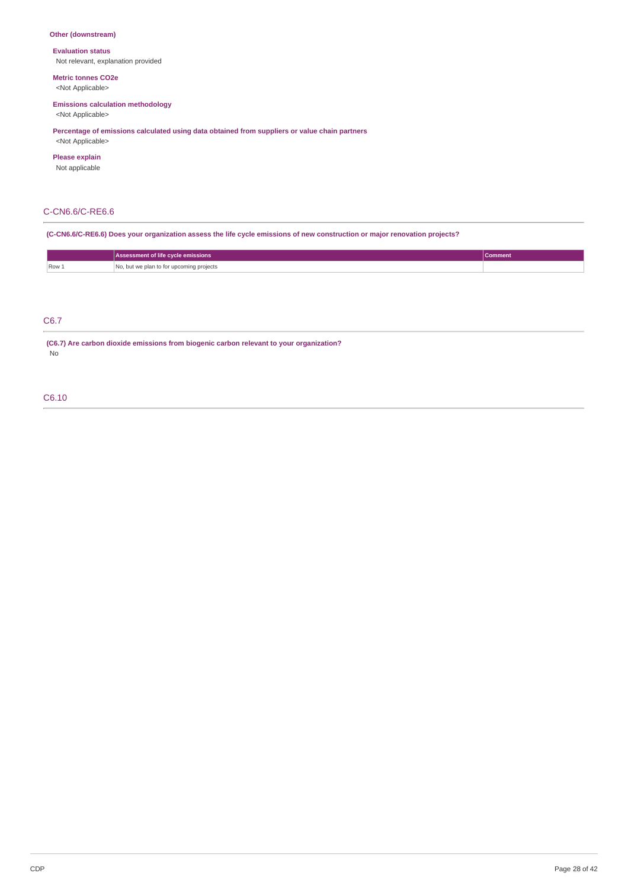## **Other (downstream)**

**Evaluation status** Not relevant, explanation provided

**Metric tonnes CO2e**

<Not Applicable>

## **Emissions calculation methodology**

<Not Applicable>

**Percentage of emissions calculated using data obtained from suppliers or value chain partners** <Not Applicable>

# **Please explain**

Not applicable

## C-CN6.6/C-RE6.6

(C-CN6.6/C-RE6.6) Does your organization assess the life cycle emissions of new construction or major renovation projects?

|       | Assessment of life cycle emissions       | Comment |
|-------|------------------------------------------|---------|
| Row 1 | No, but we plan to for upcoming projects |         |

## C6.7

**(C6.7) Are carbon dioxide emissions from biogenic carbon relevant to your organization?** No

C6.10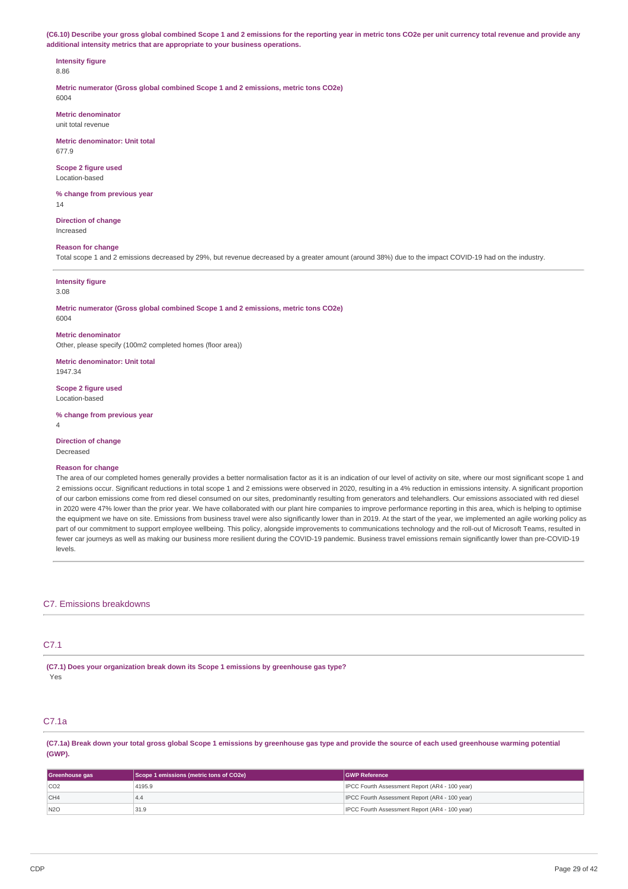(C6.10) Describe your gross global combined Scope 1 and 2 emissions for the reporting year in metric tons CO2e per unit currency total revenue and provide any **additional intensity metrics that are appropriate to your business operations.**

# **Intensity figure**

8.86

**Metric numerator (Gross global combined Scope 1 and 2 emissions, metric tons CO2e)** 6004

**Metric denominator** unit total revenue

**Metric denominator: Unit total**

677.9

**Scope 2 figure used** Location-based

**% change from previous year** 14

**Direction of change** Increased

## **Reason for change**

Total scope 1 and 2 emissions decreased by 29%, but revenue decreased by a greater amount (around 38%) due to the impact COVID-19 had on the industry.

### **Intensity figure** 3.08

## **Metric numerator (Gross global combined Scope 1 and 2 emissions, metric tons CO2e)** 6004

**Metric denominator**

Other, please specify (100m2 completed homes (floor area))

**Metric denominator: Unit total** 1947.34

**Scope 2 figure used** Location-based

**% change from previous year**

4

**Direction of change** Decreased

### **Reason for change**

The area of our completed homes generally provides a better normalisation factor as it is an indication of our level of activity on site, where our most significant scope 1 and 2 emissions occur. Significant reductions in total scope 1 and 2 emissions were observed in 2020, resulting in a 4% reduction in emissions intensity. A significant proportion of our carbon emissions come from red diesel consumed on our sites, predominantly resulting from generators and telehandlers. Our emissions associated with red diesel in 2020 were 47% lower than the prior year. We have collaborated with our plant hire companies to improve performance reporting in this area, which is helping to optimise the equipment we have on site. Emissions from business travel were also significantly lower than in 2019. At the start of the year, we implemented an agile working policy as part of our commitment to support employee wellbeing. This policy, alongside improvements to communications technology and the roll-out of Microsoft Teams, resulted in fewer car journeys as well as making our business more resilient during the COVID-19 pandemic. Business travel emissions remain significantly lower than pre-COVID-19 levels.

## C7. Emissions breakdowns

## C7.1

**(C7.1) Does your organization break down its Scope 1 emissions by greenhouse gas type?** Yes

# C7.1a

(C7.1a) Break down your total gross global Scope 1 emissions by greenhouse gas type and provide the source of each used greenhouse warming potential **(GWP).**

| Greenhouse gas  | Scope 1 emissions (metric tons of CO2e) | <b>GWP Reference</b>                                  |
|-----------------|-----------------------------------------|-------------------------------------------------------|
| CO <sub>2</sub> | 4195.9                                  | <b>IPCC Fourth Assessment Report (AR4 - 100 year)</b> |
| CH4             | 4.4                                     | <b>IPCC Fourth Assessment Report (AR4 - 100 year)</b> |
| N <sub>20</sub> | 31.9                                    | <b>IPCC Fourth Assessment Report (AR4 - 100 year)</b> |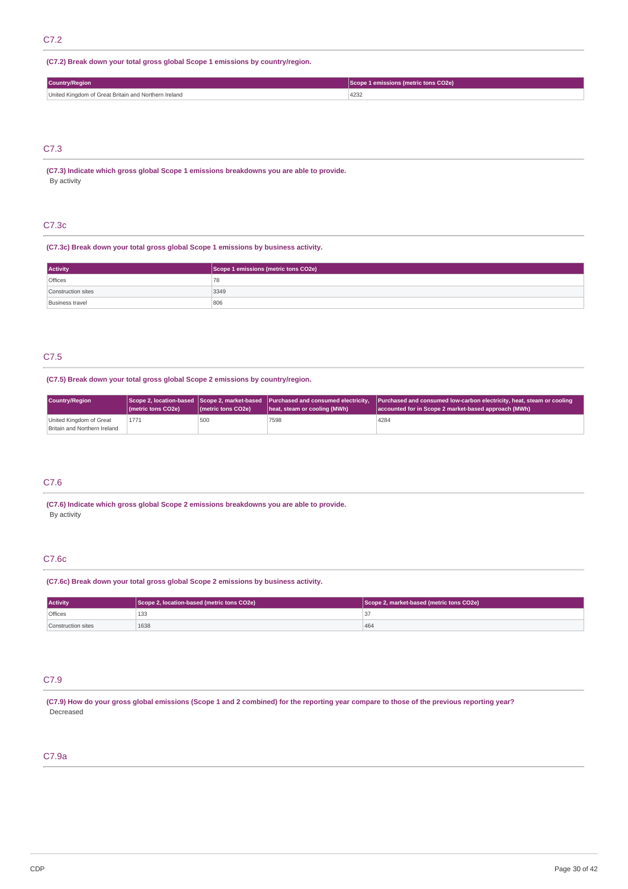## **(C7.2) Break down your total gross global Scope 1 emissions by country/region.**

| <b>Country/Region</b>                                | Lemissions (metric tons CO2e) |
|------------------------------------------------------|-------------------------------|
| United Kingdom of Great Britain and Northern Ireland | 4232                          |

## C7.3

**(C7.3) Indicate which gross global Scope 1 emissions breakdowns you are able to provide.** By activity

## C7.3c

## **(C7.3c) Break down your total gross global Scope 1 emissions by business activity.**

| <b>Activity</b>    | Scope 1 emissions (metric tons CO2e) |
|--------------------|--------------------------------------|
| Offices            | 78                                   |
| Construction sites | 3349                                 |
| Business travel    | 806                                  |

## C7.5

### **(C7.5) Break down your total gross global Scope 2 emissions by country/region.**

| <b>Country/Region</b>                                   | (metric tons CO2e) | (metric tons CO2e) | Scope 2, location-based Scope 2, market-based Purchased and consumed electricity,<br>heat, steam or cooling (MWh) | Purchased and consumed low-carbon electricity, heat, steam or cooling<br>accounted for in Scope 2 market-based approach (MWh) |
|---------------------------------------------------------|--------------------|--------------------|-------------------------------------------------------------------------------------------------------------------|-------------------------------------------------------------------------------------------------------------------------------|
| United Kingdom of Great<br>Britain and Northern Ireland | 1771               | 500                | 7598                                                                                                              | 4284                                                                                                                          |

## C7.6

**(C7.6) Indicate which gross global Scope 2 emissions breakdowns you are able to provide.** By activity

## C7.6c

## **(C7.6c) Break down your total gross global Scope 2 emissions by business activity.**

| <b>Activity</b>    | Scope 2, location-based (metric tons CO2e) | Scope 2, market-based (metric tons CO2e) |
|--------------------|--------------------------------------------|------------------------------------------|
| <b>Offices</b>     | 133                                        | o.                                       |
| Construction sites | 1638                                       | 464                                      |

## C7.9

(C7.9) How do your gross global emissions (Scope 1 and 2 combined) for the reporting year compare to those of the previous reporting year? Decreased

## C7.9a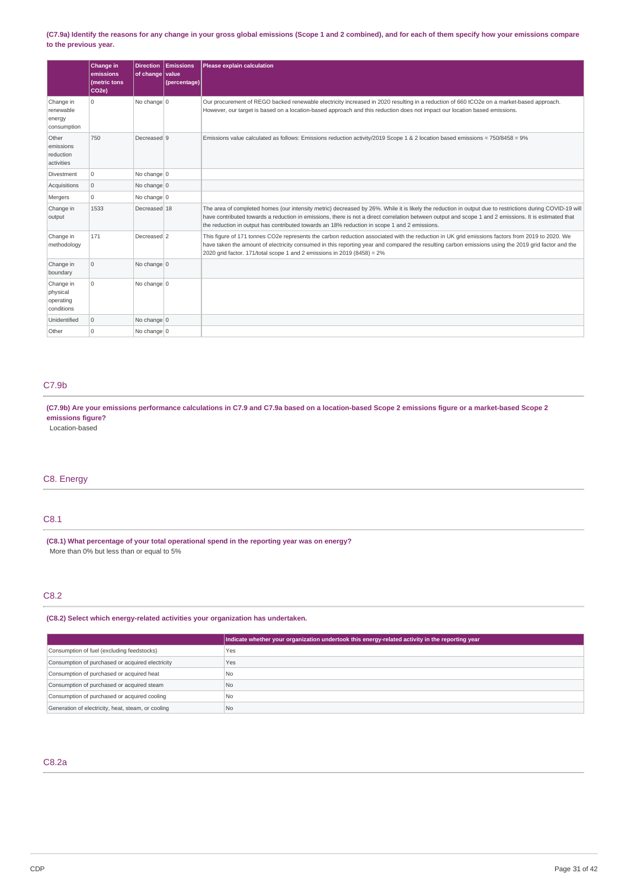### (C7.9a) Identify the reasons for any change in your gross global emissions (Scope 1 and 2 combined), and for each of them specify how your emissions compare **to the previous year.**

|                                                  | <b>Change in</b>                                | <b>Direction</b> | Emissions    | Please explain calculation                                                                                                                                                                                                                                                                                                                                                                                        |
|--------------------------------------------------|-------------------------------------------------|------------------|--------------|-------------------------------------------------------------------------------------------------------------------------------------------------------------------------------------------------------------------------------------------------------------------------------------------------------------------------------------------------------------------------------------------------------------------|
|                                                  | emissions<br>(metric tons<br>CO <sub>2</sub> e) | of change value  | (percentage) |                                                                                                                                                                                                                                                                                                                                                                                                                   |
| Change in<br>renewable<br>energy<br>consumption  | 0                                               | No change $ 0 $  |              | Our procurement of REGO backed renewable electricity increased in 2020 resulting in a reduction of 660 tCO2e on a market-based approach.<br>However, our target is based on a location-based approach and this reduction does not impact our location based emissions.                                                                                                                                            |
| Other<br>emissions<br>reduction<br>activities    | 750                                             | Decreased 9      |              | Emissions value calculated as follows: Emissions reduction activity/2019 Scope 1 & 2 location based emissions = 750/8458 = 9%                                                                                                                                                                                                                                                                                     |
| Divestment                                       | 0                                               | No change $ 0 $  |              |                                                                                                                                                                                                                                                                                                                                                                                                                   |
| Acquisitions                                     | $\overline{0}$                                  | No change $ 0 $  |              |                                                                                                                                                                                                                                                                                                                                                                                                                   |
| Mergers                                          | 0                                               | No change $ 0 $  |              |                                                                                                                                                                                                                                                                                                                                                                                                                   |
| Change in<br>output                              | 1533                                            | Decreased 18     |              | The area of completed homes (our intensity metric) decreased by 26%. While it is likely the reduction in output due to restrictions during COVID-19 will<br>have contributed towards a reduction in emissions, there is not a direct correlation between output and scope 1 and 2 emissions. It is estimated that<br>the reduction in output has contributed towards an 18% reduction in scope 1 and 2 emissions. |
| Change in<br>methodology                         | 171                                             | Decreased 2      |              | This figure of 171 tonnes CO2e represents the carbon reduction associated with the reduction in UK grid emissions factors from 2019 to 2020. We<br>have taken the amount of electricity consumed in this reporting year and compared the resulting carbon emissions using the 2019 grid factor and the<br>2020 grid factor. 171/total scope 1 and 2 emissions in 2019 (8458) = 2%                                 |
| Change in<br>boundary                            | $\overline{0}$                                  | No change $ 0 $  |              |                                                                                                                                                                                                                                                                                                                                                                                                                   |
| Change in<br>physical<br>operating<br>conditions | $\Omega$                                        | No change $ 0 $  |              |                                                                                                                                                                                                                                                                                                                                                                                                                   |
| Unidentified                                     | $\overline{0}$                                  | No change $ 0 $  |              |                                                                                                                                                                                                                                                                                                                                                                                                                   |
| Other                                            | 0                                               | No change 0      |              |                                                                                                                                                                                                                                                                                                                                                                                                                   |

## C7.9b

(C7.9b) Are your emissions performance calculations in C7.9 and C7.9a based on a location-based Scope 2 emissions figure or a market-based Scope 2 **emissions figure?**

Location-based

## C8. Energy

## C8.1

**(C8.1) What percentage of your total operational spend in the reporting year was on energy?** More than 0% but less than or equal to 5%

## C8.2

## **(C8.2) Select which energy-related activities your organization has undertaken.**

|                                                    | Indicate whether your organization undertook this energy-related activity in the reporting year |
|----------------------------------------------------|-------------------------------------------------------------------------------------------------|
| Consumption of fuel (excluding feedstocks)         | Yes                                                                                             |
| Consumption of purchased or acquired electricity   | Yes                                                                                             |
| Consumption of purchased or acquired heat          | No.                                                                                             |
| Consumption of purchased or acquired steam         | N <sub>0</sub>                                                                                  |
| Consumption of purchased or acquired cooling       | No.                                                                                             |
| Generation of electricity, heat, steam, or cooling | N <sub>0</sub>                                                                                  |

## C8.2a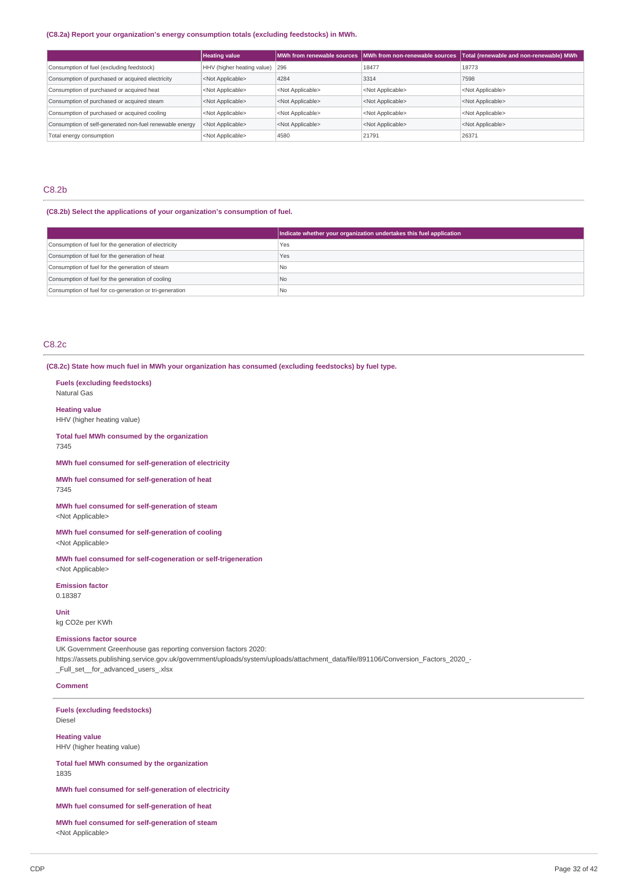## **(C8.2a) Report your organization's energy consumption totals (excluding feedstocks) in MWh.**

|                                                         | <b>Heating value</b>             |                           | MWh from renewable sources   MWh from non-renewable sources | Total (renewable and non-renewable) MWh |
|---------------------------------------------------------|----------------------------------|---------------------------|-------------------------------------------------------------|-----------------------------------------|
| Consumption of fuel (excluding feedstock)               | HHV (higher heating value)   296 |                           | 18477                                                       | 18773                                   |
| Consumption of purchased or acquired electricity        | <not applicable=""></not>        | 4284                      | 3314                                                        | 7598                                    |
| Consumption of purchased or acquired heat               | <not applicable=""></not>        | <not applicable=""></not> | <not applicable=""></not>                                   | <not applicable=""></not>               |
| Consumption of purchased or acquired steam              | <not applicable=""></not>        | <not applicable=""></not> | <not applicable=""></not>                                   | <not applicable=""></not>               |
| Consumption of purchased or acquired cooling            | <not applicable=""></not>        | <not applicable=""></not> | <not applicable=""></not>                                   | <not applicable=""></not>               |
| Consumption of self-generated non-fuel renewable energy | <not applicable=""></not>        | <not applicable=""></not> | <not applicable=""></not>                                   | <not applicable=""></not>               |
| Total energy consumption                                | <not applicable=""></not>        | 4580                      | 21791                                                       | 26371                                   |

## C8.2b

## **(C8.2b) Select the applications of your organization's consumption of fuel.**

|                                                         | Indicate whether your organization undertakes this fuel application |
|---------------------------------------------------------|---------------------------------------------------------------------|
| Consumption of fuel for the generation of electricity   | Yes                                                                 |
| Consumption of fuel for the generation of heat          | Yes                                                                 |
| Consumption of fuel for the generation of steam         | No                                                                  |
| Consumption of fuel for the generation of cooling       | No                                                                  |
| Consumption of fuel for co-generation or tri-generation | l No                                                                |

## C8.2c

**(C8.2c) State how much fuel in MWh your organization has consumed (excluding feedstocks) by fuel type.**

**Fuels (excluding feedstocks)** Natural Gas

**Heating value** HHV (higher heating value)

## **Total fuel MWh consumed by the organization**

7345

### **MWh fuel consumed for self-generation of electricity**

**MWh fuel consumed for self-generation of heat** 7345

### **MWh fuel consumed for self-generation of steam** <Not Applicable>

**MWh fuel consumed for self-generation of cooling** <Not Applicable>

**MWh fuel consumed for self-cogeneration or self-trigeneration** <Not Applicable>

**Emission factor** 0.18387

**Unit**

kg CO2e per KWh

### **Emissions factor source**

UK Government Greenhouse gas reporting conversion factors 2020: https://assets.publishing.service.gov.uk/government/uploads/system/uploads/attachment\_data/file/891106/Conversion\_Factors\_2020\_- \_Full\_set\_\_for\_advanced\_users\_.xlsx

## **Comment**

**Fuels (excluding feedstocks)** Diesel

**Heating value** HHV (higher heating value)

**Total fuel MWh consumed by the organization** 1835

**MWh fuel consumed for self-generation of electricity**

## **MWh fuel consumed for self-generation of heat**

**MWh fuel consumed for self-generation of steam** <Not Applicable>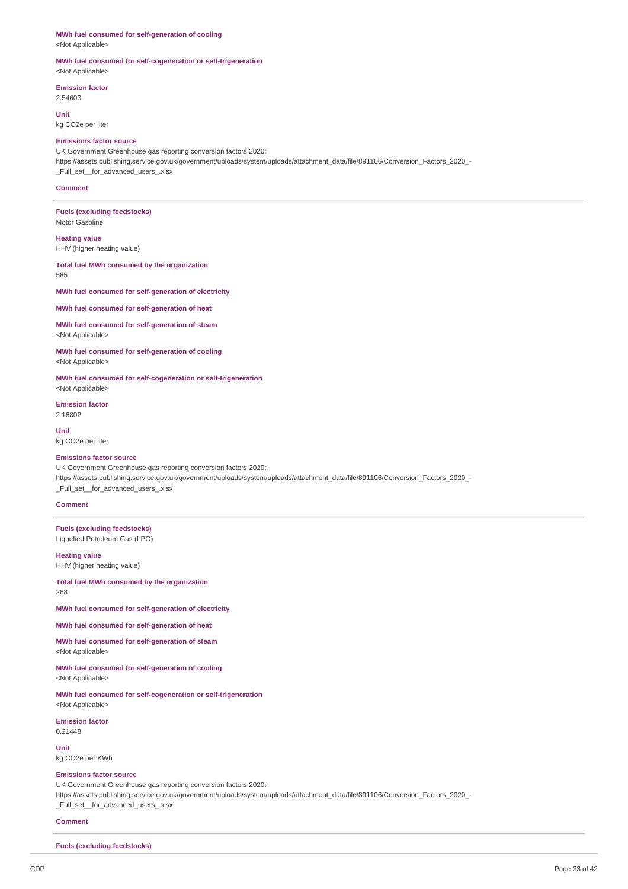### **MWh fuel consumed for self-generation of cooling**

<Not Applicable>

### **MWh fuel consumed for self-cogeneration or self-trigeneration** <Not Applicable>

**Emission factor**

2.54603

### **Unit**

kg CO2e per liter

### **Emissions factor source**

UK Government Greenhouse gas reporting conversion factors 2020: https://assets.publishing.service.gov.uk/government/uploads/system/uploads/attachment\_data/file/891106/Conversion\_Factors\_2020\_- \_Full\_set\_\_for\_advanced\_users\_.xlsx

### **Comment**

**Fuels (excluding feedstocks)** Motor Gasoline

**Heating value**

HHV (higher heating value)

**Total fuel MWh consumed by the organization** 585

**MWh fuel consumed for self-generation of electricity**

**MWh fuel consumed for self-generation of heat**

**MWh fuel consumed for self-generation of steam** <Not Applicable>

**MWh fuel consumed for self-generation of cooling** <Not Applicable>

**MWh fuel consumed for self-cogeneration or self-trigeneration** <Not Applicable>

**Emission factor** 2.16802

**Unit** kg CO2e per liter

#### **Emissions factor source**

UK Government Greenhouse gas reporting conversion factors 2020: https://assets.publishing.service.gov.uk/government/uploads/system/uploads/attachment\_data/file/891106/Conversion\_Factors\_2020\_- \_Full\_set\_\_for\_advanced\_users\_.xlsx

### **Comment**

**Fuels (excluding feedstocks)** Liquefied Petroleum Gas (LPG)

**Heating value**

HHV (higher heating value)

**Total fuel MWh consumed by the organization** 268

**MWh fuel consumed for self-generation of electricity**

**MWh fuel consumed for self-generation of heat**

**MWh fuel consumed for self-generation of steam** <Not Applicable>

**MWh fuel consumed for self-generation of cooling**

<Not Applicable>

**MWh fuel consumed for self-cogeneration or self-trigeneration** <Not Applicable>

**Emission factor** 0.21448

**Unit** kg CO2e per KWh

#### **Emissions factor source**

UK Government Greenhouse gas reporting conversion factors 2020: https://assets.publishing.service.gov.uk/government/uploads/system/uploads/attachment\_data/file/891106/Conversion\_Factors\_2020\_-\_Full\_set\_\_for\_advanced\_users\_.xlsx

#### **Comment**

**Fuels (excluding feedstocks)**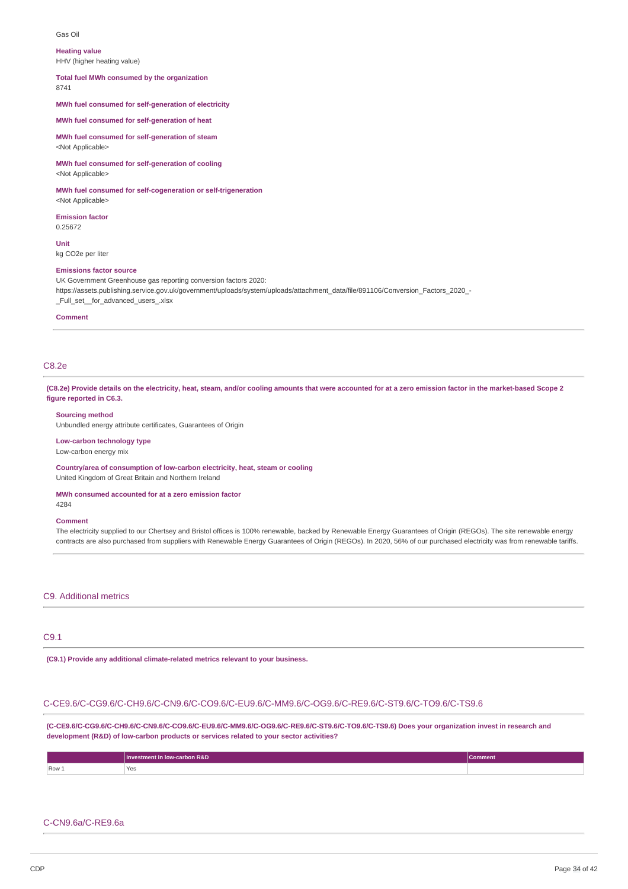Gas Oil

#### **Heating value**

HHV (higher heating value)

**Total fuel MWh consumed by the organization**

8741

**MWh fuel consumed for self-generation of electricity**

## **MWh fuel consumed for self-generation of heat**

**MWh fuel consumed for self-generation of steam** <Not Applicable>

**MWh fuel consumed for self-generation of cooling** <Not Applicable>

**MWh fuel consumed for self-cogeneration or self-trigeneration** <Not Applicable>

**Emission factor**

0.25672 **Unit**

kg CO2e per liter

## **Emissions factor source**

UK Government Greenhouse gas reporting conversion factors 2020: https://assets.publishing.service.gov.uk/government/uploads/system/uploads/attachment\_data/file/891106/Conversion\_Factors\_2020\_- Full\_set\_\_for\_advanced\_users\_.xlsx

### **Comment**

## C8.2e

(C8.2e) Provide details on the electricity, heat, steam, and/or cooling amounts that were accounted for at a zero emission factor in the market-based Scope 2 **figure reported in C6.3.**

### **Sourcing method**

Unbundled energy attribute certificates, Guarantees of Origin

**Low-carbon technology type** Low-carbon energy mix

**Country/area of consumption of low-carbon electricity, heat, steam or cooling** United Kingdom of Great Britain and Northern Ireland

**MWh consumed accounted for at a zero emission factor** 4284

#### **Comment**

The electricity supplied to our Chertsey and Bristol offices is 100% renewable, backed by Renewable Energy Guarantees of Origin (REGOs). The site renewable energy contracts are also purchased from suppliers with Renewable Energy Guarantees of Origin (REGOs). In 2020, 56% of our purchased electricity was from renewable tariffs.

## C9. Additional metrics

## C9.1

**(C9.1) Provide any additional climate-related metrics relevant to your business.**

# C-CE9.6/C-CG9.6/C-CH9.6/C-CN9.6/C-CO9.6/C-EU9.6/C-MM9.6/C-OG9.6/C-RE9.6/C-ST9.6/C-TO9.6/C-TS9.6

**(C-CE9.6/C-CG9.6/C-CH9.6/C-CN9.6/C-CO9.6/C-EU9.6/C-MM9.6/C-OG9.6/C-RE9.6/C-ST9.6/C-TO9.6/C-TS9.6) Does your organization invest in research and development (R&D) of low-carbon products or services related to your sector activities?**

|       | Investment in low-carbon R&D | Comment |
|-------|------------------------------|---------|
| Row 1 | Yes<br>$\sim$ $\sim$         |         |

## C-CN9.6a/C-RE9.6a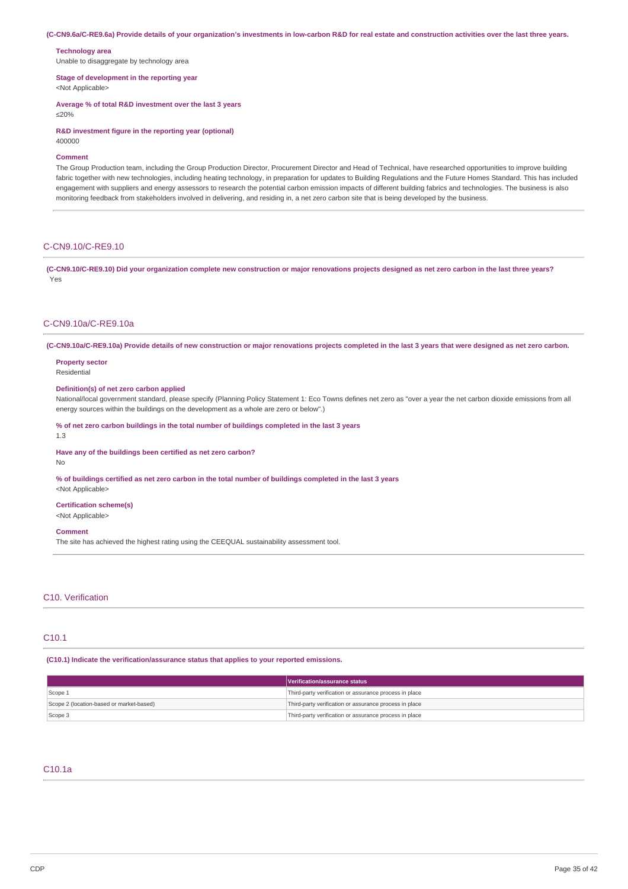(C-CN9.6a/C-RE9.6a) Provide details of your organization's investments in low-carbon R&D for real estate and construction activities over the last three years.

# **Technology area**

Unable to disaggregate by technology area

**Stage of development in the reporting year**

<Not Applicable>

**Average % of total R&D investment over the last 3 years** ≤20%

**R&D investment figure in the reporting year (optional)**

400000

### **Comment**

The Group Production team, including the Group Production Director, Procurement Director and Head of Technical, have researched opportunities to improve building fabric together with new technologies, including heating technology, in preparation for updates to Building Regulations and the Future Homes Standard. This has included engagement with suppliers and energy assessors to research the potential carbon emission impacts of different building fabrics and technologies. The business is also monitoring feedback from stakeholders involved in delivering, and residing in, a net zero carbon site that is being developed by the business.

## C-CN9.10/C-RE9.10

(C-CN9.10/C-RE9.10) Did your organization complete new construction or major renovations projects designed as net zero carbon in the last three years? Yes

## C-CN9.10a/C-RE9.10a

(C-CN9.10a/C-RE9.10a) Provide details of new construction or major renovations projects completed in the last 3 years that were designed as net zero carbon.

## **Property sector**

Residential

## **Definition(s) of net zero carbon applied**

National/local government standard, please specify (Planning Policy Statement 1: Eco Towns defines net zero as "over a year the net carbon dioxide emissions from all energy sources within the buildings on the development as a whole are zero or below".)

#### **% of net zero carbon buildings in the total number of buildings completed in the last 3 years**

1.3

#### **Have any of the buildings been certified as net zero carbon?** No

% of buildings certified as net zero carbon in the total number of buildings completed in the last 3 years <Not Applicable>

## **Certification scheme(s)**

<Not Applicable>

### **Comment**

The site has achieved the highest rating using the CEEQUAL sustainability assessment tool.

## C10. Verification

## C10.1

**(C10.1) Indicate the verification/assurance status that applies to your reported emissions.**

|                                          | Verification/assurance status                          |  |
|------------------------------------------|--------------------------------------------------------|--|
| Scope 1                                  | Third-party verification or assurance process in place |  |
| Scope 2 (location-based or market-based) | Third-party verification or assurance process in place |  |
| Scope 3                                  | Third-party verification or assurance process in place |  |

## C10.1a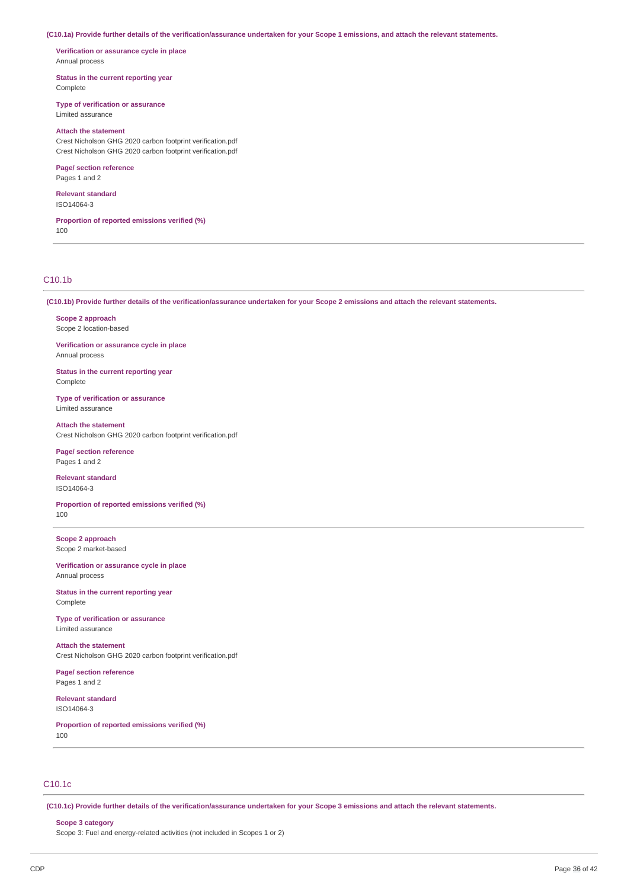(C10.1a) Provide further details of the verification/assurance undertaken for your Scope 1 emissions, and attach the relevant statements.

**Verification or assurance cycle in place** Annual process

**Status in the current reporting year** Complete

**Type of verification or assurance** Limited assurance

# **Attach the statement**

Crest Nicholson GHG 2020 carbon footprint verification.pdf Crest Nicholson GHG 2020 carbon footprint verification.pdf

## **Page/ section reference**

Pages 1 and 2

**Relevant standard** ISO14064-3

**Proportion of reported emissions verified (%)** 100

## C10.1b

(C10.1b) Provide further details of the verification/assurance undertaken for your Scope 2 emissions and attach the relevant statements.

**Scope 2 approach** Scope 2 location-based

**Verification or assurance cycle in place** Annual process

**Status in the current reporting year** Complete

**Type of verification or assurance** Limited assurance

**Attach the statement** Crest Nicholson GHG 2020 carbon footprint verification.pdf

**Page/ section reference** Pages 1 and 2

**Relevant standard** ISO14064-3

**Proportion of reported emissions verified (%)** 100

**Scope 2 approach** Scope 2 market-based

**Verification or assurance cycle in place** Annual process

**Status in the current reporting year** Complete

**Type of verification or assurance** Limited assurance

**Attach the statement** Crest Nicholson GHG 2020 carbon footprint verification.pdf

**Page/ section reference** Pages 1 and 2

**Relevant standard** ISO14064-3

**Proportion of reported emissions verified (%)** 100

## C10.1c

(C10.1c) Provide further details of the verification/assurance undertaken for your Scope 3 emissions and attach the relevant statements.

### **Scope 3 category**

Scope 3: Fuel and energy-related activities (not included in Scopes 1 or 2)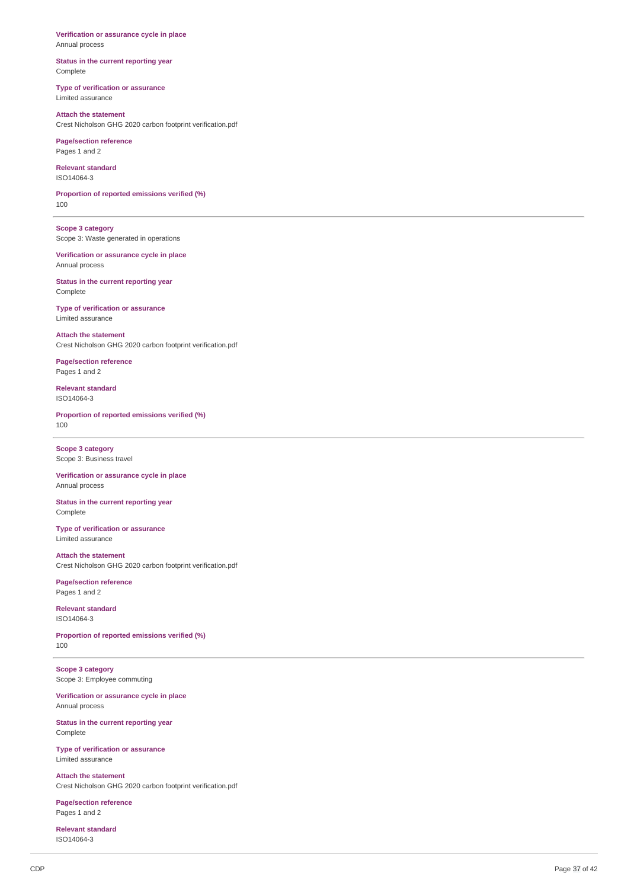Verification or assurance cycle in place Annual process

Status in the current reporting year Complete

**Type of verification or assurance** Limited assurance

**Attach the statement** Crest Nicholson GHG 2020 carbon footprint verification.pdf

**Page/section reference** Pages 1 and 2

**Relevant standard** ISO14064-3

**Proportion of reported emissions verified (%)** 1 0 0

**Scope 3 category** Scope 3: Waste generated in operations

Verification or assurance cycle in place Annual process

Status in the current reporting year Complete

**Type of verification or assurance** Limited assurance

**Attach the statement** Crest Nicholson GHG 2020 carbon footprint verification.pdf

**Page/section reference** Pages 1 and 2

**Relevant standard** ISO14064-3

**Proportion of reported emissions verified (%)** 1 0 0

**Scope 3 category** Scope 3: Business travel

**Verification or assuranc e c y cle in pla c e** Annual process

Status in the current reporting year Complete

**Type of verification or assurance** Limited assurance

**Attach the statement** Crest Nicholson GHG 2020 carbon footprint verification.pdf

**Page/section reference** Pages 1 and 2

**Relevant standard** ISO14064-3

**Proportion of reported emissions verified (%)** 1 0 0

**Scope 3 category** Scope 3: Employee commuting

Verification or assurance cycle in place Annual process

Status in the current reporting year Complete

**Type of verification or assurance** Limited assurance

**Attach the statement** Crest Nicholson GHG 2020 carbon footprint verification.pdf

**Page/section reference** Pages 1 and 2

**Relevant standard** ISO14064-3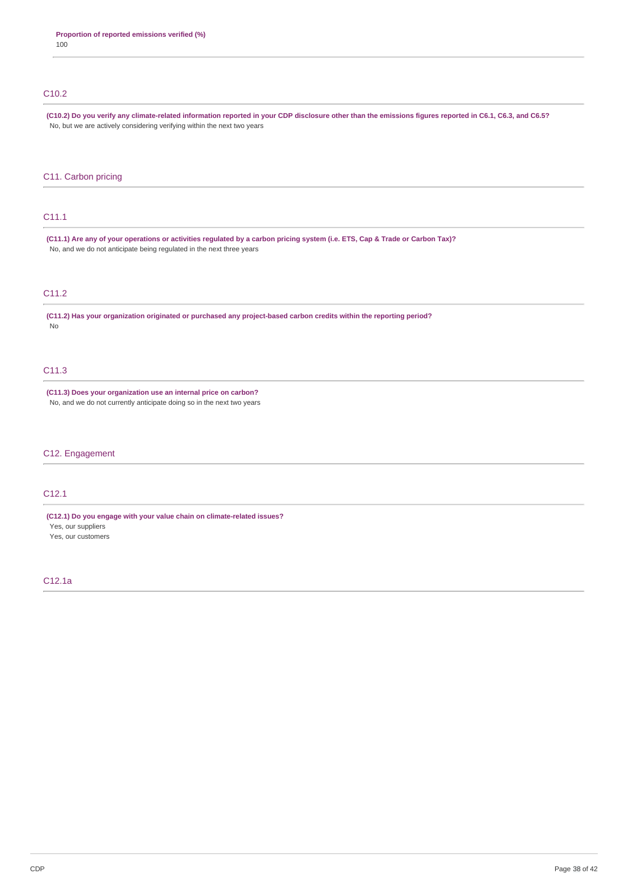## C10.2

(C10.2) Do you verify any climate-related information reported in your CDP disclosure other than the emissions figures reported in C6.1, C6.3, and C6.5? No, but we are actively considering verifying within the next two years

## C11. Carbon pricing

## C11.1

(C11.1) Are any of your operations or activities regulated by a carbon pricing system (i.e. ETS, Cap & Trade or Carbon Tax)? No, and we do not anticipate being regulated in the next three years

## C11.2

**(C11.2) Has your organization originated or purchased any project-based carbon credits within the reporting period?** No

## C11.3

**(C11.3) Does your organization use an internal price on carbon?** No, and we do not currently anticipate doing so in the next two years

## C12. Engagement

## C12.1

**(C12.1) Do you engage with your value chain on climate-related issues?**

Yes, our suppliers

Yes, our customers

## C12.1a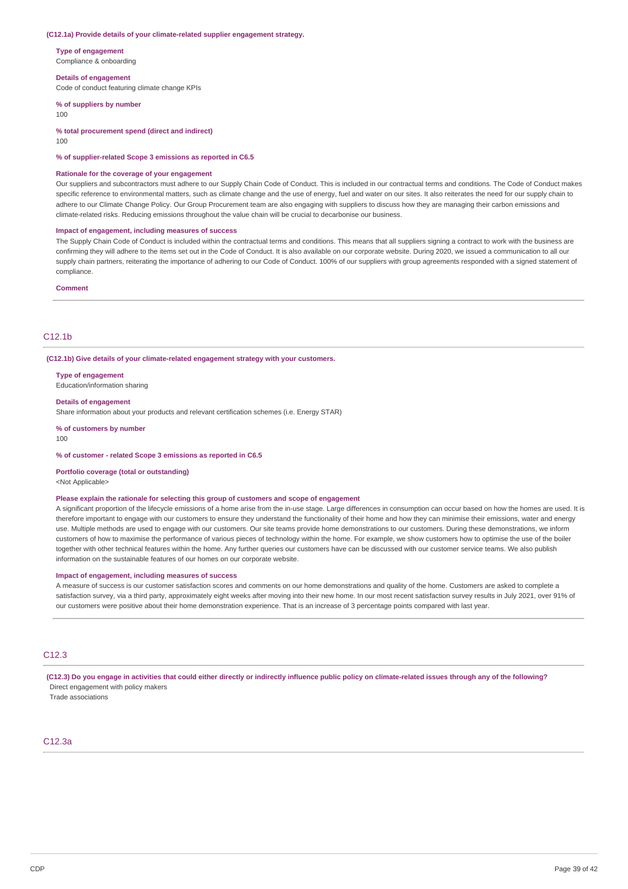#### **(C12.1a) Provide details of your climate-related supplier engagement strategy.**

**Type of engagement** Compliance & onboarding

#### **Details of engagement**

Code of conduct featuring climate change KPIs

**% of suppliers by number**

100

**% total procurement spend (direct and indirect)**

 $100$ 

**% of supplier-related Scope 3 emissions as reported in C6.5**

#### **Rationale for the coverage of your engagement**

Our suppliers and subcontractors must adhere to our Supply Chain Code of Conduct. This is included in our contractual terms and conditions. The Code of Conduct makes specific reference to environmental matters, such as climate change and the use of energy, fuel and water on our sites. It also reiterates the need for our supply chain to adhere to our Climate Change Policy. Our Group Procurement team are also engaging with suppliers to discuss how they are managing their carbon emissions and climate-related risks. Reducing emissions throughout the value chain will be crucial to decarbonise our business.

#### **Impact of engagement, including measures of success**

The Supply Chain Code of Conduct is included within the contractual terms and conditions. This means that all suppliers signing a contract to work with the business are confirming they will adhere to the items set out in the Code of Conduct. It is also available on our corporate website. During 2020, we issued a communication to all our supply chain partners, reiterating the importance of adhering to our Code of Conduct. 100% of our suppliers with group agreements responded with a signed statement of compliance.

### **Comment**

## $C12.1<sub>b</sub>$

**(C12.1b) Give details of your climate-related engagement strategy with your customers.**

#### **Type of engagement**

Education/information sharing

#### **Details of engagement**

Share information about your products and relevant certification schemes (i.e. Energy STAR)

#### **% of customers by number**

100

#### **% of customer - related Scope 3 emissions as reported in C6.5**

#### **Portfolio coverage (total or outstanding)**

<Not Applicable>

#### **Please explain the rationale for selecting this group of customers and scope of engagement**

A significant proportion of the lifecycle emissions of a home arise from the in-use stage. Large differences in consumption can occur based on how the homes are used. It is therefore important to engage with our customers to ensure they understand the functionality of their home and how they can minimise their emissions, water and energy use. Multiple methods are used to engage with our customers. Our site teams provide home demonstrations to our customers. During these demonstrations, we inform customers of how to maximise the performance of various pieces of technology within the home. For example, we show customers how to optimise the use of the boiler together with other technical features within the home. Any further queries our customers have can be discussed with our customer service teams. We also publish information on the sustainable features of our homes on our corporate website.

#### **Impact of engagement, including measures of success**

A measure of success is our customer satisfaction scores and comments on our home demonstrations and quality of the home. Customers are asked to complete a satisfaction survey, via a third party, approximately eight weeks after moving into their new home. In our most recent satisfaction survey results in July 2021, over 91% of our customers were positive about their home demonstration experience. That is an increase of 3 percentage points compared with last year.

## C12.3

(C12.3) Do you engage in activities that could either directly or indirectly influence public policy on climate-related issues through any of the following? Direct engagement with policy makers

Trade associations

## C12.3a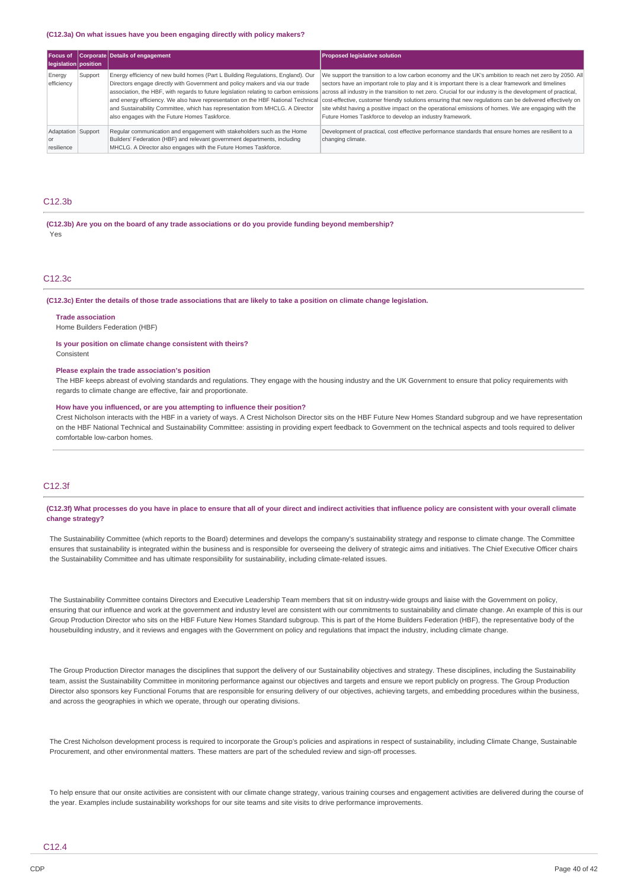#### **(C12.3a) On what issues have you been engaging directly with policy makers?**

| <b>Focus of</b><br>legislation position |         | Corporate Details of engagement                                                                                                                                                                                                                                                                                                                                                                                                                                                  | <b>Proposed legislative solution</b>                                                                                                                                                                                                                                                                                                                                                                                                                                                                                                                                                                           |
|-----------------------------------------|---------|----------------------------------------------------------------------------------------------------------------------------------------------------------------------------------------------------------------------------------------------------------------------------------------------------------------------------------------------------------------------------------------------------------------------------------------------------------------------------------|----------------------------------------------------------------------------------------------------------------------------------------------------------------------------------------------------------------------------------------------------------------------------------------------------------------------------------------------------------------------------------------------------------------------------------------------------------------------------------------------------------------------------------------------------------------------------------------------------------------|
| Energy<br>efficiency                    | Support | Energy efficiency of new build homes (Part L Building Regulations, England). Our<br>Directors engage directly with Government and policy makers and via our trade<br>association, the HBF, with regards to future legislation relating to carbon emissions<br>and energy efficiency. We also have representation on the HBF National Technical<br>and Sustainability Committee, which has representation from MHCLG. A Director<br>also engages with the Future Homes Taskforce. | We support the transition to a low carbon economy and the UK's ambition to reach net zero by 2050. All<br>sectors have an important role to play and it is important there is a clear framework and timelines<br>across all industry in the transition to net zero. Crucial for our industry is the development of practical,<br>cost-effective, customer friendly solutions ensuring that new regulations can be delivered effectively on<br>site whilst having a positive impact on the operational emissions of homes. We are engaging with the<br>Future Homes Taskforce to develop an industry framework. |
| Adaptation   Support<br>resilience      |         | Regular communication and engagement with stakeholders such as the Home<br>Builders' Federation (HBF) and relevant government departments, including<br>MHCLG. A Director also engages with the Future Homes Taskforce.                                                                                                                                                                                                                                                          | Development of practical, cost effective performance standards that ensure homes are resilient to a<br>changing climate.                                                                                                                                                                                                                                                                                                                                                                                                                                                                                       |

## C12.3b

**(C12.3b) Are you on the board of any trade associations or do you provide funding beyond membership?** Yes

### C12.3c

(C12.3c) Enter the details of those trade associations that are likely to take a position on climate change legislation.

### **Trade association**

Home Builders Federation (HBF)

**Is your position on climate change consistent with theirs?** Consistent

#### **Please explain the trade association's position**

The HBF keeps abreast of evolving standards and regulations. They engage with the housing industry and the UK Government to ensure that policy requirements with regards to climate change are effective, fair and proportionate.

### **How have you influenced, or are you attempting to influence their position?**

Crest Nicholson interacts with the HBF in a variety of ways. A Crest Nicholson Director sits on the HBF Future New Homes Standard subgroup and we have representation on the HBF National Technical and Sustainability Committee: assisting in providing expert feedback to Government on the technical aspects and tools required to deliver comfortable low-carbon homes.

### C12.3f

### (C12.3f) What processes do you have in place to ensure that all of your direct and indirect activities that influence policy are consistent with your overall climate **change strategy?**

The Sustainability Committee (which reports to the Board) determines and develops the company's sustainability strategy and response to climate change. The Committee ensures that sustainability is integrated within the business and is responsible for overseeing the delivery of strategic aims and initiatives. The Chief Executive Officer chairs the Sustainability Committee and has ultimate responsibility for sustainability, including climate-related issues.

The Sustainability Committee contains Directors and Executive Leadership Team members that sit on industry-wide groups and liaise with the Government on policy, ensuring that our influence and work at the government and industry level are consistent with our commitments to sustainability and climate change. An example of this is our Group Production Director who sits on the HBF Future New Homes Standard subgroup. This is part of the Home Builders Federation (HBF), the representative body of the housebuilding industry, and it reviews and engages with the Government on policy and regulations that impact the industry, including climate change.

The Group Production Director manages the disciplines that support the delivery of our Sustainability objectives and strategy. These disciplines, including the Sustainability team, assist the Sustainability Committee in monitoring performance against our objectives and targets and ensure we report publicly on progress. The Group Production Director also sponsors key Functional Forums that are responsible for ensuring delivery of our objectives, achieving targets, and embedding procedures within the business, and across the geographies in which we operate, through our operating divisions.

The Crest Nicholson development process is required to incorporate the Group's policies and aspirations in respect of sustainability, including Climate Change, Sustainable Procurement, and other environmental matters. These matters are part of the scheduled review and sign-off processes.

To help ensure that our onsite activities are consistent with our climate change strategy, various training courses and engagement activities are delivered during the course of the year. Examples include sustainability workshops for our site teams and site visits to drive performance improvements.